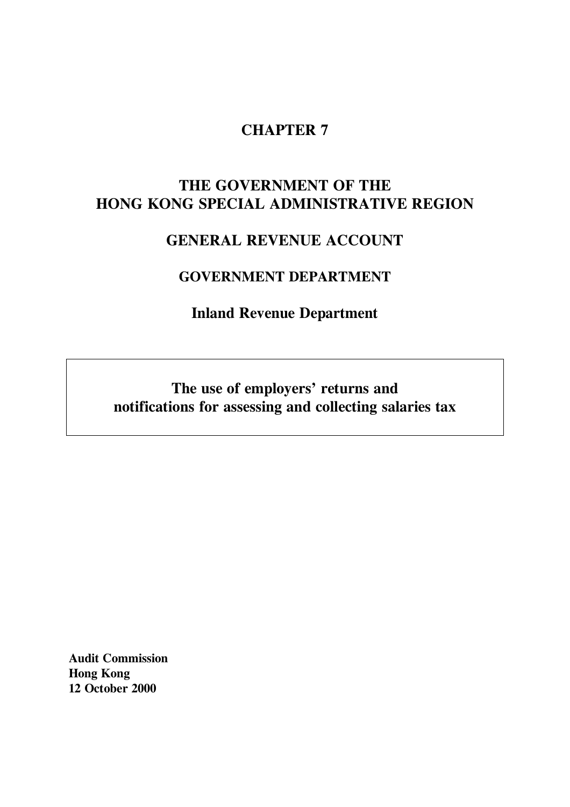# **CHAPTER 7**

# **THE GOVERNMENT OF THE HONG KONG SPECIAL ADMINISTRATIVE REGION**

# **GENERAL REVENUE ACCOUNT**

# **GOVERNMENT DEPARTMENT**

**Inland Revenue Department**

**The use of employers' returns and notifications for assessing and collecting salaries tax**

**Audit Commission Hong Kong 12 October 2000**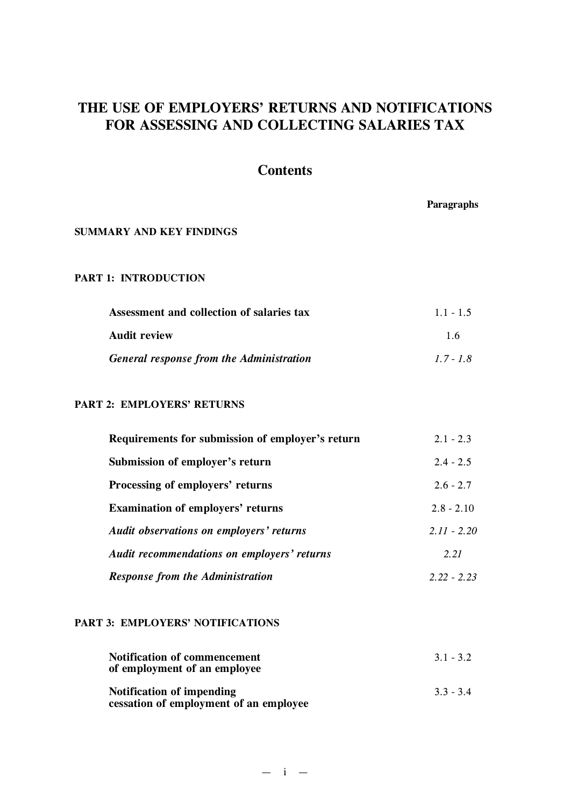# **THE USE OF EMPLOYERS' RETURNS AND NOTIFICATIONS FOR ASSESSING AND COLLECTING SALARIES TAX**

# **Contents**

|                                           | Paragraphs  |
|-------------------------------------------|-------------|
| <b>SUMMARY AND KEY FINDINGS</b>           |             |
| <b>PART 1: INTRODUCTION</b>               |             |
| Assessment and collection of salaries tax | $1.1 - 1.5$ |
| <b>Audit review</b>                       | 1.6         |
| General response from the Administration  | $1.7 - 1.8$ |

### **PART 2: EMPLOYERS' RETURNS**

| Requirements for submission of employer's return | $2.1 - 2.3$   |
|--------------------------------------------------|---------------|
| Submission of employer's return                  | $2.4 - 2.5$   |
| Processing of employers' returns                 | $2.6 - 2.7$   |
| <b>Examination of employers' returns</b>         | $2.8 - 2.10$  |
| <b>Audit observations on employers' returns</b>  | $2.11 - 2.20$ |
| Audit recommendations on employers' returns      | 2.21          |
| <b>Response from the Administration</b>          | $2.22 - 2.23$ |

### **PART 3: EMPLOYERS' NOTIFICATIONS**

| <b>Notification of commencement</b><br>of employment of an employee | $3.1 - 3.2$ |
|---------------------------------------------------------------------|-------------|
| Notification of impending<br>cessation of employment of an employee | $3.3 - 3.4$ |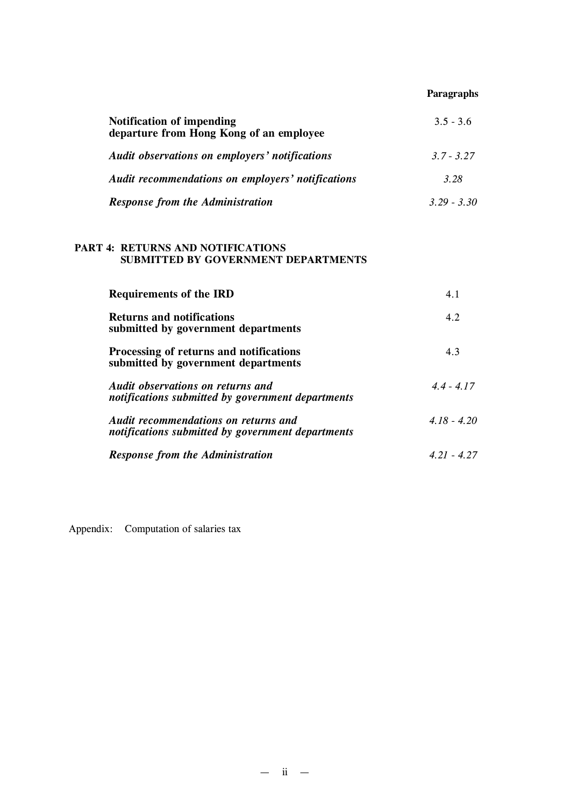# **Paragraphs**

| <b>Notification of impending</b><br>departure from Hong Kong of an employee | $3.5 - 3.6$   |
|-----------------------------------------------------------------------------|---------------|
| Audit observations on employers' notifications                              | $3.7 - 3.27$  |
| <b>Audit recommendations on employers' notifications</b>                    | 3.28          |
| <b>Response from the Administration</b>                                     | $3.29 - 3.30$ |

# **PART 4: RETURNS AND NOTIFICATIONS SUBMITTED BY GOVERNMENT DEPARTMENTS**

| <b>Requirements of the IRD</b>                                                            | 4.1           |
|-------------------------------------------------------------------------------------------|---------------|
| <b>Returns and notifications</b><br>submitted by government departments                   | 4.2           |
| Processing of returns and notifications<br>submitted by government departments            | 4.3           |
| Audit observations on returns and<br>notifications submitted by government departments    | $44 - 417$    |
| Audit recommendations on returns and<br>notifications submitted by government departments | $4.18 - 4.20$ |
| <b>Response from the Administration</b>                                                   | $4.21 - 4.27$ |

Appendix: Computation of salaries tax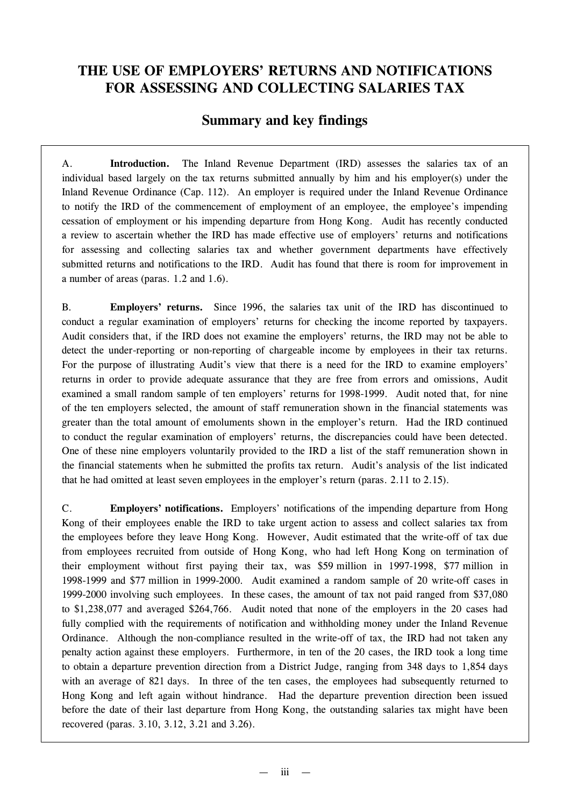# **THE USE OF EMPLOYERS' RETURNS AND NOTIFICATIONS FOR ASSESSING AND COLLECTING SALARIES TAX**

# **Summary and key findings**

A. **Introduction.** The Inland Revenue Department (IRD) assesses the salaries tax of an individual based largely on the tax returns submitted annually by him and his employer(s) under the Inland Revenue Ordinance (Cap. 112). An employer is required under the Inland Revenue Ordinance to notify the IRD of the commencement of employment of an employee, the employee's impending cessation of employment or his impending departure from Hong Kong. Audit has recently conducted a review to ascertain whether the IRD has made effective use of employers' returns and notifications for assessing and collecting salaries tax and whether government departments have effectively submitted returns and notifications to the IRD. Audit has found that there is room for improvement in a number of areas (paras. 1.2 and 1.6).

B. **Employers' returns.** Since 1996, the salaries tax unit of the IRD has discontinued to conduct a regular examination of employers' returns for checking the income reported by taxpayers. Audit considers that, if the IRD does not examine the employers' returns, the IRD may not be able to detect the under-reporting or non-reporting of chargeable income by employees in their tax returns. For the purpose of illustrating Audit's view that there is a need for the IRD to examine employers' returns in order to provide adequate assurance that they are free from errors and omissions, Audit examined a small random sample of ten employers' returns for 1998-1999. Audit noted that, for nine of the ten employers selected, the amount of staff remuneration shown in the financial statements was greater than the total amount of emoluments shown in the employer's return. Had the IRD continued to conduct the regular examination of employers' returns, the discrepancies could have been detected. One of these nine employers voluntarily provided to the IRD a list of the staff remuneration shown in the financial statements when he submitted the profits tax return. Audit's analysis of the list indicated that he had omitted at least seven employees in the employer's return (paras. 2.11 to 2.15).

C. **Employers' notifications.** Employers' notifications of the impending departure from Hong Kong of their employees enable the IRD to take urgent action to assess and collect salaries tax from the employees before they leave Hong Kong. However, Audit estimated that the write-off of tax due from employees recruited from outside of Hong Kong, who had left Hong Kong on termination of their employment without first paying their tax, was \$59 million in 1997-1998, \$77 million in 1998-1999 and \$77 million in 1999-2000. Audit examined a random sample of 20 write-off cases in 1999-2000 involving such employees. In these cases, the amount of tax not paid ranged from \$37,080 to \$1,238,077 and averaged \$264,766. Audit noted that none of the employers in the 20 cases had fully complied with the requirements of notification and withholding money under the Inland Revenue Ordinance. Although the non-compliance resulted in the write-off of tax, the IRD had not taken any penalty action against these employers. Furthermore, in ten of the 20 cases, the IRD took a long time to obtain a departure prevention direction from a District Judge, ranging from 348 days to 1,854 days with an average of 821 days. In three of the ten cases, the employees had subsequently returned to Hong Kong and left again without hindrance. Had the departure prevention direction been issued before the date of their last departure from Hong Kong, the outstanding salaries tax might have been recovered (paras. 3.10, 3.12, 3.21 and 3.26).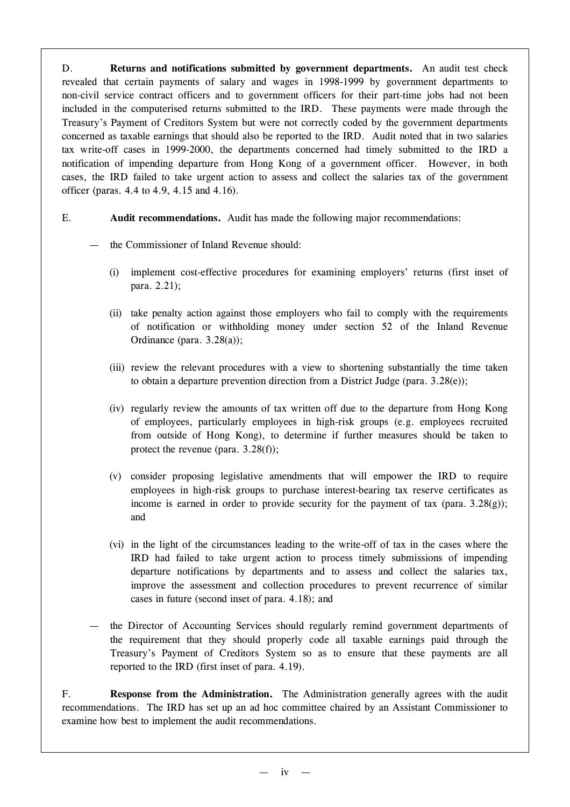D. **Returns and notifications submitted by government departments.** An audit test check revealed that certain payments of salary and wages in 1998-1999 by government departments to non-civil service contract officers and to government officers for their part-time jobs had not been included in the computerised returns submitted to the IRD. These payments were made through the Treasury's Payment of Creditors System but were not correctly coded by the government departments concerned as taxable earnings that should also be reported to the IRD. Audit noted that in two salaries tax write-off cases in 1999-2000, the departments concerned had timely submitted to the IRD a notification of impending departure from Hong Kong of a government officer. However, in both cases, the IRD failed to take urgent action to assess and collect the salaries tax of the government officer (paras. 4.4 to 4.9, 4.15 and 4.16).

# E. **Audit recommendations.** Audit has made the following major recommendations:

- the Commissioner of Inland Revenue should:
	- (i) implement cost-effective procedures for examining employers' returns (first inset of para. 2.21);
	- (ii) take penalty action against those employers who fail to comply with the requirements of notification or withholding money under section 52 of the Inland Revenue Ordinance (para. 3.28(a));
	- (iii) review the relevant procedures with a view to shortening substantially the time taken to obtain a departure prevention direction from a District Judge (para. 3.28(e));
	- (iv) regularly review the amounts of tax written off due to the departure from Hong Kong of employees, particularly employees in high-risk groups (e.g. employees recruited from outside of Hong Kong), to determine if further measures should be taken to protect the revenue (para. 3.28(f));
	- (v) consider proposing legislative amendments that will empower the IRD to require employees in high-risk groups to purchase interest-bearing tax reserve certificates as income is earned in order to provide security for the payment of tax (para.  $3.28(g)$ ); and
	- (vi) in the light of the circumstances leading to the write-off of tax in the cases where the IRD had failed to take urgent action to process timely submissions of impending departure notifications by departments and to assess and collect the salaries tax, improve the assessment and collection procedures to prevent recurrence of similar cases in future (second inset of para. 4.18); and
- the Director of Accounting Services should regularly remind government departments of the requirement that they should properly code all taxable earnings paid through the Treasury's Payment of Creditors System so as to ensure that these payments are all reported to the IRD (first inset of para. 4.19).

F. **Response from the Administration.** The Administration generally agrees with the audit recommendations. The IRD has set up an ad hoc committee chaired by an Assistant Commissioner to examine how best to implement the audit recommendations.

 $iv -$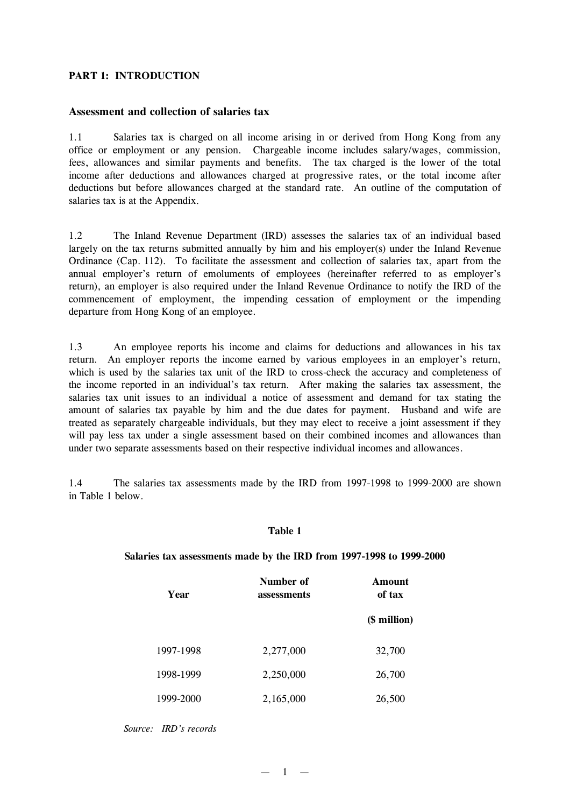### **PART 1: INTRODUCTION**

### **Assessment and collection of salaries tax**

1.1 Salaries tax is charged on all income arising in or derived from Hong Kong from any office or employment or any pension. Chargeable income includes salary/wages, commission, fees, allowances and similar payments and benefits. The tax charged is the lower of the total income after deductions and allowances charged at progressive rates, or the total income after deductions but before allowances charged at the standard rate. An outline of the computation of salaries tax is at the Appendix.

1.2 The Inland Revenue Department (IRD) assesses the salaries tax of an individual based largely on the tax returns submitted annually by him and his employer(s) under the Inland Revenue Ordinance (Cap. 112). To facilitate the assessment and collection of salaries tax, apart from the annual employer's return of emoluments of employees (hereinafter referred to as employer's return), an employer is also required under the Inland Revenue Ordinance to notify the IRD of the commencement of employment, the impending cessation of employment or the impending departure from Hong Kong of an employee.

1.3 An employee reports his income and claims for deductions and allowances in his tax return. An employer reports the income earned by various employees in an employer's return, which is used by the salaries tax unit of the IRD to cross-check the accuracy and completeness of the income reported in an individual's tax return. After making the salaries tax assessment, the salaries tax unit issues to an individual a notice of assessment and demand for tax stating the amount of salaries tax payable by him and the due dates for payment. Husband and wife are treated as separately chargeable individuals, but they may elect to receive a joint assessment if they will pay less tax under a single assessment based on their combined incomes and allowances than under two separate assessments based on their respective individual incomes and allowances.

1.4 The salaries tax assessments made by the IRD from 1997-1998 to 1999-2000 are shown in Table 1 below.

### **Table 1**

#### **Salaries tax assessments made by the IRD from 1997-1998 to 1999-2000**

| Year      | Number of<br>assessments | <b>Amount</b><br>of tax |
|-----------|--------------------------|-------------------------|
|           |                          | (\$ million)            |
| 1997-1998 | 2,277,000                | 32,700                  |
| 1998-1999 | 2,250,000                | 26,700                  |
| 1999-2000 | 2,165,000                | 26,500                  |

*Source: IRD's records*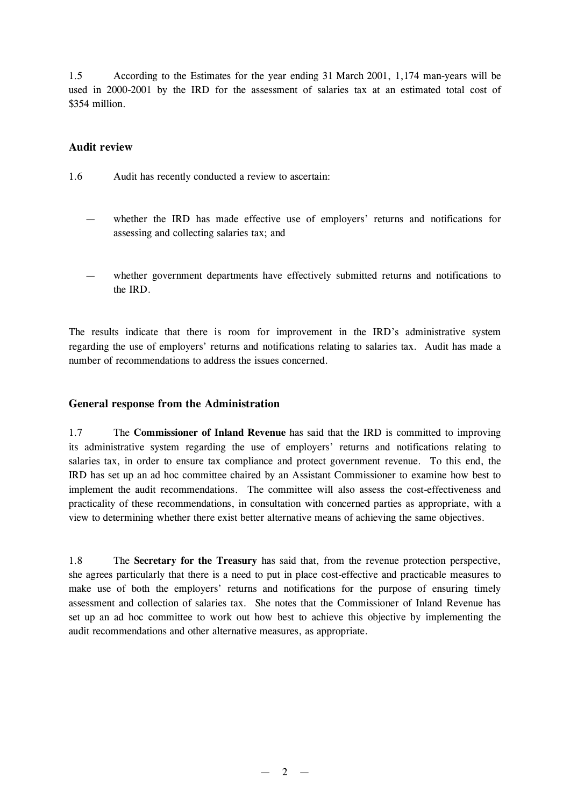1.5 According to the Estimates for the year ending 31 March 2001, 1,174 man-years will be used in 2000-2001 by the IRD for the assessment of salaries tax at an estimated total cost of \$354 million.

## **Audit review**

- 1.6 Audit has recently conducted a review to ascertain:
	- whether the IRD has made effective use of employers' returns and notifications for assessing and collecting salaries tax; and
	- whether government departments have effectively submitted returns and notifications to the IRD.

The results indicate that there is room for improvement in the IRD's administrative system regarding the use of employers' returns and notifications relating to salaries tax. Audit has made a number of recommendations to address the issues concerned.

# **General response from the Administration**

1.7 The **Commissioner of Inland Revenue** has said that the IRD is committed to improving its administrative system regarding the use of employers' returns and notifications relating to salaries tax, in order to ensure tax compliance and protect government revenue. To this end, the IRD has set up an ad hoc committee chaired by an Assistant Commissioner to examine how best to implement the audit recommendations. The committee will also assess the cost-effectiveness and practicality of these recommendations, in consultation with concerned parties as appropriate, with a view to determining whether there exist better alternative means of achieving the same objectives.

1.8 The **Secretary for the Treasury** has said that, from the revenue protection perspective, she agrees particularly that there is a need to put in place cost-effective and practicable measures to make use of both the employers' returns and notifications for the purpose of ensuring timely assessment and collection of salaries tax. She notes that the Commissioner of Inland Revenue has set up an ad hoc committee to work out how best to achieve this objective by implementing the audit recommendations and other alternative measures, as appropriate.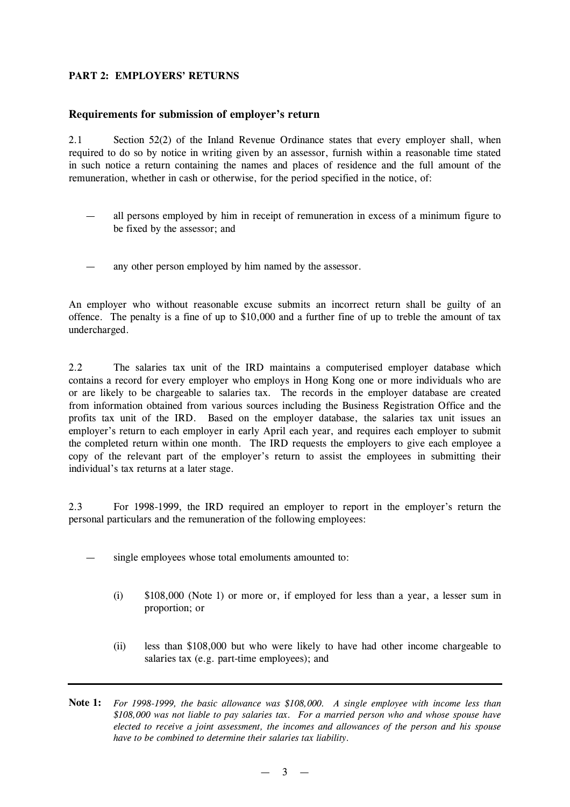# **PART 2: EMPLOYERS'RETURNS**

### **Requirements for submission of employer's return**

2.1 Section 52(2) of the Inland Revenue Ordinance states that every employer shall, when required to do so by notice in writing given by an assessor, furnish within a reasonable time stated in such notice a return containing the names and places of residence and the full amount of the remuneration, whether in cash or otherwise, for the period specified in the notice, of:

- all persons employed by him in receipt of remuneration in excess of a minimum figure to be fixed by the assessor; and
- any other person employed by him named by the assessor.

An employer who without reasonable excuse submits an incorrect return shall be guilty of an offence. The penalty is a fine of up to \$10,000 and a further fine of up to treble the amount of tax undercharged.

2.2 The salaries tax unit of the IRD maintains a computerised employer database which contains a record for every employer who employs in Hong Kong one or more individuals who are or are likely to be chargeable to salaries tax. The records in the employer database are created from information obtained from various sources including the Business Registration Office and the profits tax unit of the IRD. Based on the employer database, the salaries tax unit issues an employer's return to each employer in early April each year, and requires each employer to submit the completed return within one month. The IRD requests the employers to give each employee a copy of the relevant part of the employer's return to assist the employees in submitting their individual's tax returns at a later stage.

2.3 For 1998-1999, the IRD required an employer to report in the employer's return the personal particulars and the remuneration of the following employees:

- single employees whose total emoluments amounted to:
	- (i) \$108,000 (Note 1) or more or, if employed for less than a year, a lesser sum in proportion; or
	- (ii) less than \$108,000 but who were likely to have had other income chargeable to salaries tax (e.g. part-time employees); and
- **Note 1:** *For 1998-1999, the basic allowance was \$108,000. A single employee with income less than \$108,000 was not liable to pay salaries tax. For a married person who and whose spouse have elected to receive a joint assessment, the incomes and allowances of the person and his spouse have to be combined to determine their salaries tax liability.*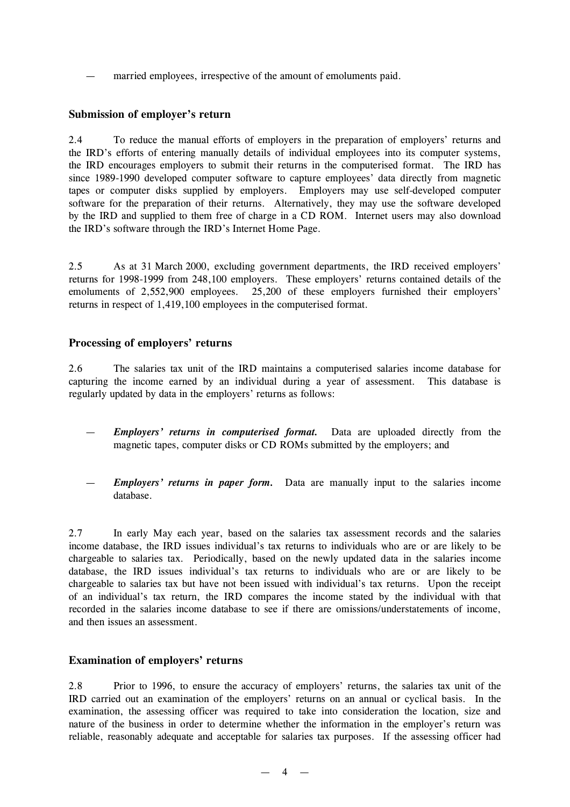married employees, irrespective of the amount of emoluments paid.

# **Submission of employer's return**

2.4 To reduce the manual efforts of employers in the preparation of employers' returns and the IRD's efforts of entering manually details of individual employees into its computer systems, the IRD encourages employers to submit their returns in the computerised format. The IRD has since 1989-1990 developed computer software to capture employees' data directly from magnetic tapes or computer disks supplied by employers. Employers may use self-developed computer software for the preparation of their returns. Alternatively, they may use the software developed by the IRD and supplied to them free of charge in a CD ROM. Internet users may also download the IRD's software through the IRD's Internet Home Page.

2.5 As at 31 March 2000, excluding government departments, the IRD received employers' returns for 1998-1999 from 248,100 employers. These employers' returns contained details of the emoluments of 2,552,900 employees. 25,200 of these employers furnished their employers' returns in respect of 1,419,100 employees in the computerised format.

## **Processing of employers' returns**

2.6 The salaries tax unit of the IRD maintains a computerised salaries income database for capturing the income earned by an individual during a year of assessment. This database is regularly updated by data in the employers' returns as follows:

- *Employers' returns in computerised format.* Data are uploaded directly from the magnetic tapes, computer disks or CD ROMs submitted by the employers; and
- *Employers' returns in paper form.* Data are manually input to the salaries income database.

2.7 In early May each year, based on the salaries tax assessment records and the salaries income database, the IRD issues individual's tax returns to individuals who are or are likely to be chargeable to salaries tax. Periodically, based on the newly updated data in the salaries income database, the IRD issues individual's tax returns to individuals who are or are likely to be chargeable to salaries tax but have not been issued with individual's tax returns. Upon the receipt of an individual's tax return, the IRD compares the income stated by the individual with that recorded in the salaries income database to see if there are omissions/understatements of income, and then issues an assessment.

### **Examination of employers' returns**

2.8 Prior to 1996, to ensure the accuracy of employers' returns, the salaries tax unit of the IRD carried out an examination of the employers' returns on an annual or cyclical basis. In the examination, the assessing officer was required to take into consideration the location, size and nature of the business in order to determine whether the information in the employer's return was reliable, reasonably adequate and acceptable for salaries tax purposes. If the assessing officer had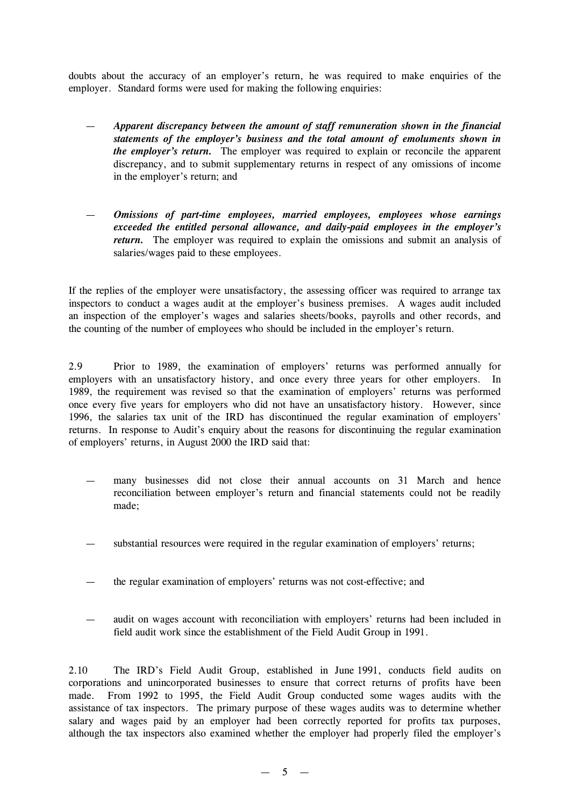doubts about the accuracy of an employer's return, he was required to make enquiries of the employer. Standard forms were used for making the following enquiries:

- *Apparent discrepancy between the amount of staff remuneration shown in the financial statements of the employer's business and the total amount of emoluments shown in the employer's return.* The employer was required to explain or reconcile the apparent discrepancy, and to submit supplementary returns in respect of any omissions of income in the employer's return; and
- *Omissions of part-time employees, married employees, employees whose earnings exceeded the entitled personal allowance, and daily-paid employees in the employer's return.* The employer was required to explain the omissions and submit an analysis of salaries/wages paid to these employees.

If the replies of the employer were unsatisfactory, the assessing officer was required to arrange tax inspectors to conduct a wages audit at the employer's business premises. A wages audit included an inspection of the employer's wages and salaries sheets/books, payrolls and other records, and the counting of the number of employees who should be included in the employer's return.

2.9 Prior to 1989, the examination of employers' returns was performed annually for employers with an unsatisfactory history, and once every three years for other employers. In 1989, the requirement was revised so that the examination of employers' returns was performed once every five years for employers who did not have an unsatisfactory history. However, since 1996, the salaries tax unit of the IRD has discontinued the regular examination of employers' returns. In response to Audit's enquiry about the reasons for discontinuing the regular examination of employers' returns, in August 2000 the IRD said that:

- many businesses did not close their annual accounts on 31 March and hence reconciliation between employer's return and financial statements could not be readily made;
- substantial resources were required in the regular examination of employers' returns;
- the regular examination of employers' returns was not cost-effective; and
- audit on wages account with reconciliation with employers' returns had been included in field audit work since the establishment of the Field Audit Group in 1991.

2.10 The IRD's Field Audit Group, established in June 1991, conducts field audits on corporations and unincorporated businesses to ensure that correct returns of profits have been made. From 1992 to 1995, the Field Audit Group conducted some wages audits with the assistance of tax inspectors. The primary purpose of these wages audits was to determine whether salary and wages paid by an employer had been correctly reported for profits tax purposes, although the tax inspectors also examined whether the employer had properly filed the employer's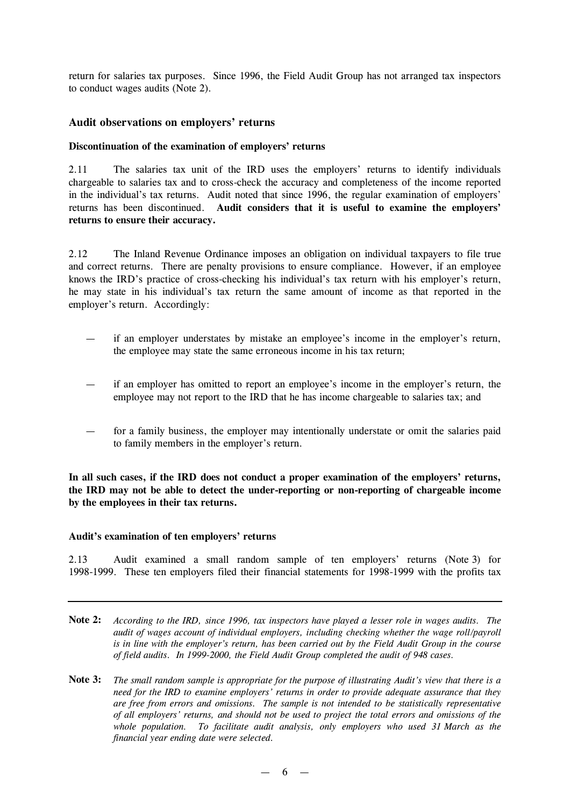return for salaries tax purposes. Since 1996, the Field Audit Group has not arranged tax inspectors to conduct wages audits (Note 2).

### **Audit observations on employers' returns**

### **Discontinuation of the examination of employers'returns**

2.11 The salaries tax unit of the IRD uses the employers' returns to identify individuals chargeable to salaries tax and to cross-check the accuracy and completeness of the income reported in the individual's tax returns. Audit noted that since 1996, the regular examination of employers' returns has been discontinued. **Audit considers that it is useful to examine the employers' returns to ensure their accuracy.**

2.12 The Inland Revenue Ordinance imposes an obligation on individual taxpayers to file true and correct returns. There are penalty provisions to ensure compliance. However, if an employee knows the IRD's practice of cross-checking his individual's tax return with his employer's return, he may state in his individual's tax return the same amount of income as that reported in the employer's return. Accordingly:

- if an employer understates by mistake an employee's income in the employer's return, the employee may state the same erroneous income in his tax return;
- if an employer has omitted to report an employee's income in the employer's return, the employee may not report to the IRD that he has income chargeable to salaries tax; and
- for a family business, the employer may intentionally understate or omit the salaries paid to family members in the employer's return.

**In all such cases, if the IRD does not conduct a proper examination of the employers' returns, the IRD may not be able to detect the under-reporting or non-reporting of chargeable income by the employees in their tax returns.**

#### **Audit's examination of ten employers'returns**

2.13 Audit examined a small random sample of ten employers' returns (Note 3) for 1998-1999. These ten employers filed their financial statements for 1998-1999 with the profits tax

- **Note 2:** According to the IRD, since 1996, tax inspectors have played a lesser role in wages audits. The *audit of wages account of individual employers, including checking whether the wage roll/payroll* is in line with the employer's return, has been carried out by the Field Audit Group in the course *of field audits. In 1999-2000, the Field Audit Group completed the audit of 948 cases.*
- **Note 3:** The small random sample is appropriate for the purpose of illustrating Audit's view that there is a *need for the IRD to examine employers' returns in order to provide adequate assurance that they are free from errors and omissions. The sample is not intended to be statistically representative of all employers' returns, and should not be used to project the total errors and omissions of the whole population. To facilitate audit analysis, only employers who used 31 March as the financial year ending date were selected.*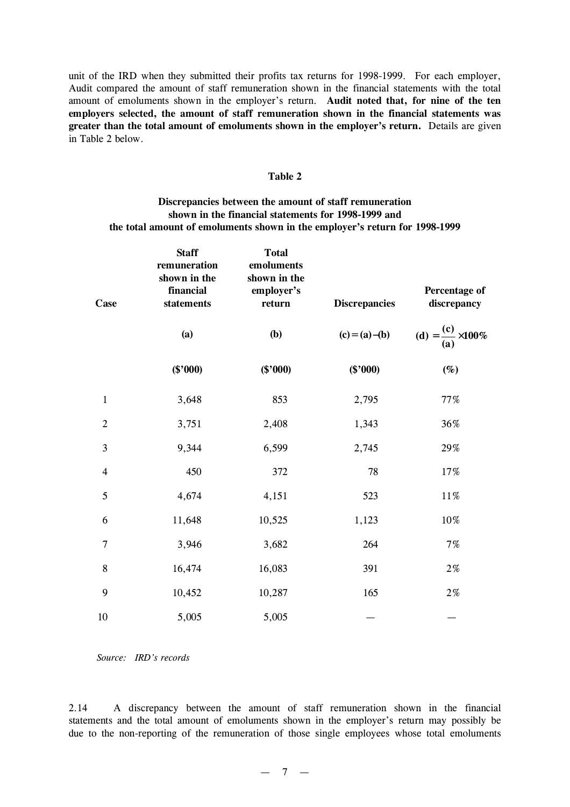unit of the IRD when they submitted their profits tax returns for 1998-1999. For each employer, Audit compared the amount of staff remuneration shown in the financial statements with the total amount of emoluments shown in the employer's return. **Audit noted that, for nine of the ten employers selected, the amount of staff remuneration shown in the financial statements was greater than the total amount of emoluments shown in the employer's return.** Details are given in Table 2 below.

#### **Table 2**

### **Discrepancies between the amount of staff remuneration shown in the financial statements for 1998-1999 and the total amount of emoluments shown in the employer's return for 1998-1999**

| Case           | <b>Staff</b><br>remuneration<br>shown in the<br>financial<br>statements | <b>Total</b><br>emoluments<br>shown in the<br>employer's<br>return | <b>Discrepancies</b> | Percentage of<br>discrepancy |
|----------------|-------------------------------------------------------------------------|--------------------------------------------------------------------|----------------------|------------------------------|
|                | (a)                                                                     | <b>(b)</b>                                                         | $(c) = (a) - (b)$    | (d) = $\frac{(c)}{(a)}$ 100% |
|                | (\$'000)                                                                | (\$'000)                                                           | $(\$'000)$           | $(\%)$                       |
| $\mathbf{1}$   | 3,648                                                                   | 853                                                                | 2,795                | 77%                          |
| $\overline{2}$ | 3,751                                                                   | 2,408                                                              | 1,343                | 36%                          |
| 3              | 9,344                                                                   | 6,599                                                              | 2,745                | 29%                          |
| $\overline{4}$ | 450                                                                     | 372                                                                | 78                   | 17%                          |
| 5              | 4,674                                                                   | 4,151                                                              | 523                  | $11\%$                       |
| 6              | 11,648                                                                  | 10,525                                                             | 1,123                | 10%                          |
| 7              | 3,946                                                                   | 3,682                                                              | 264                  | 7%                           |
| 8              | 16,474                                                                  | 16,083                                                             | 391                  | $2\,\%$                      |
| 9              | 10,452                                                                  | 10,287                                                             | 165                  | $2\,\%$                      |
| 10             | 5,005                                                                   | 5,005                                                              |                      |                              |

*Source: IRD's records*

2.14 A discrepancy between the amount of staff remuneration shown in the financial statements and the total amount of emoluments shown in the employer's return may possibly be due to the non-reporting of the remuneration of those single employees whose total emoluments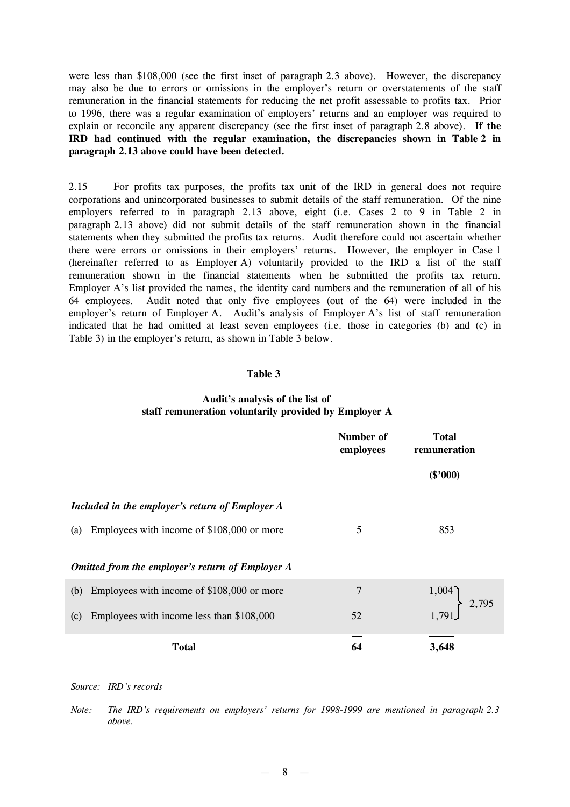were less than \$108,000 (see the first inset of paragraph 2.3 above). However, the discrepancy may also be due to errors or omissions in the employer's return or overstatements of the staff remuneration in the financial statements for reducing the net profit assessable to profits tax. Prior to 1996, there was a regular examination of employers' returns and an employer was required to explain or reconcile any apparent discrepancy (see the first inset of paragraph 2.8 above). **If the IRD had continued with the regular examination, the discrepancies shown in Table 2 in paragraph 2.13 above could have been detected.**

2.15 For profits tax purposes, the profits tax unit of the IRD in general does not require corporations and unincorporated businesses to submit details of the staff remuneration. Of the nine employers referred to in paragraph 2.13 above, eight (i.e. Cases 2 to 9 in Table 2 in paragraph 2.13 above) did not submit details of the staff remuneration shown in the financial statements when they submitted the profits tax returns. Audit therefore could not ascertain whether there were errors or omissions in their employers' returns. However, the employer in Case 1 (hereinafter referred to as Employer A) voluntarily provided to the IRD a list of the staff remuneration shown in the financial statements when he submitted the profits tax return. Employer A's list provided the names, the identity card numbers and the remuneration of all of his 64 employees. Audit noted that only five employees (out of the 64) were included in the employer's return of Employer A. Audit's analysis of Employer A's list of staff remuneration indicated that he had omitted at least seven employees (i.e. those in categories (b) and (c) in Table 3) in the employer's return, as shown in Table 3 below.

### **Table 3**

### **Audit's analysis of the list of staff remuneration voluntarily provided by Employer A**

|                                                   | Number of<br>employees | <b>Total</b><br>remuneration |
|---------------------------------------------------|------------------------|------------------------------|
|                                                   |                        | (\$'000)                     |
| Included in the employer's return of Employer A   |                        |                              |
| Employees with income of \$108,000 or more<br>(a) | 5                      | 853                          |
| Omitted from the employer's return of Employer A  |                        |                              |
| Employees with income of \$108,000 or more<br>(b) | $\overline{7}$         | 1,004<br>2,795               |
| Employees with income less than \$108,000<br>(c)  | 52                     | 1,791                        |
| Total                                             | 64                     | 3,648                        |

*Source: IRD's records*

*Note: The IRD's requirements on employers' returns for 1998-1999 are mentioned in paragraph 2.3 above.*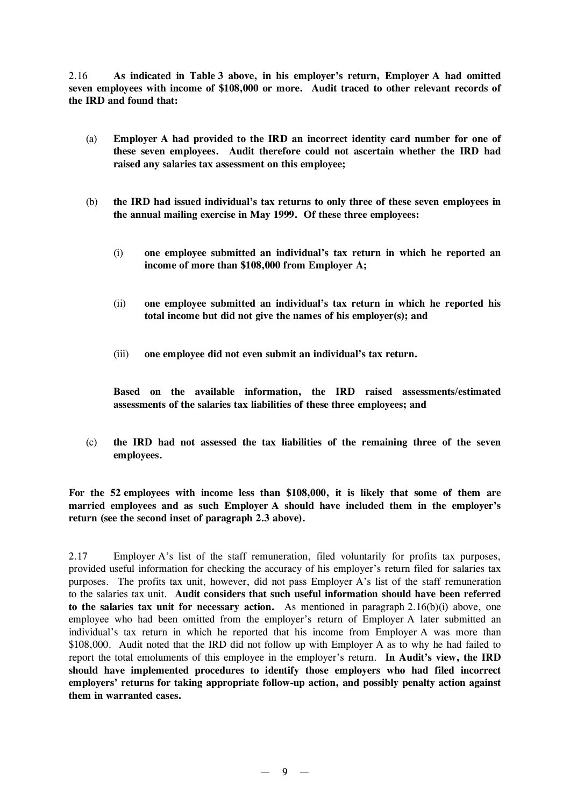2.16 **As indicated in Table 3 above, in his employer's return, Employer A had omitted seven employees with income of \$108,000 or more. Audit traced to other relevant records of the IRD and found that:**

- (a) **Employer A had provided to the IRD an incorrect identity card number for one of these seven employees. Audit therefore could not ascertain whether the IRD had raised any salaries tax assessment on this employee;**
- (b) **the IRD had issued individual's tax returns to only three of these seven employees in the annual mailing exercise in May 1999. Of these three employees:**
	- (i) **one employee submitted an individual's tax return in which he reported an income of more than \$108,000 from Employer A;**
	- (ii) **one employee submitted an individual's tax return in which he reported his total income but did not give the names of his employer(s); and**
	- (iii) **one employee did not even submit an individual's tax return.**

**Based on the available information, the IRD raised assessments/estimated assessments of the salaries tax liabilities of these three employees; and**

(c) **the IRD had not assessed the tax liabilities of the remaining three of the seven employees.**

**For the 52 employees with income less than \$108,000, it is likely that some of them are married employees and as such Employer A should have included them in the employer's return (see the second inset of paragraph 2.3 above).**

2.17 Employer A's list of the staff remuneration, filed voluntarily for profits tax purposes, provided useful information for checking the accuracy of his employer's return filed for salaries tax purposes. The profits tax unit, however, did not pass Employer A's list of the staff remuneration to the salaries tax unit. **Audit considers that such useful information should have been referred to the salaries tax unit for necessary action.** As mentioned in paragraph 2.16(b)(i) above, one employee who had been omitted from the employer's return of Employer A later submitted an individual's tax return in which he reported that his income from Employer A was more than \$108,000. Audit noted that the IRD did not follow up with Employer A as to why he had failed to report the total emoluments of this employee in the employer's return. **In Audit's view, the IRD should have implemented procedures to identify those employers who had filed incorrect employers' returns for taking appropriate follow-up action, and possibly penalty action against them in warranted cases.**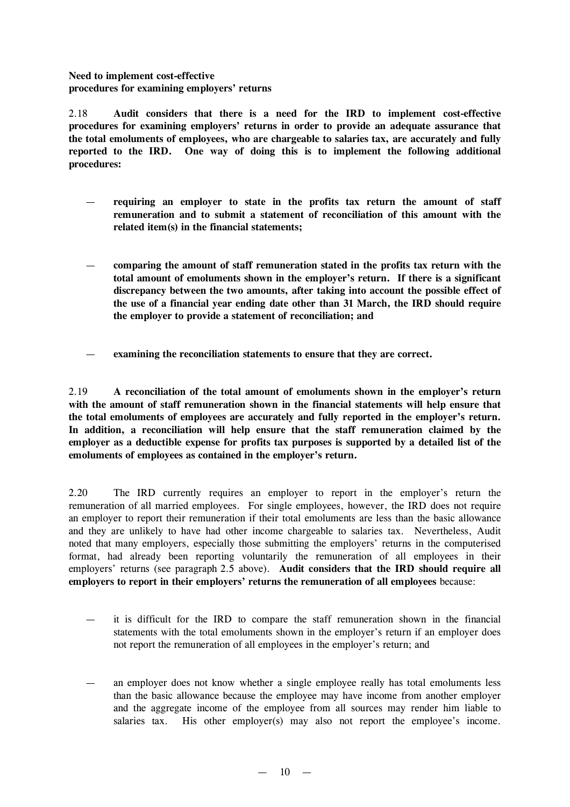**Need to implement cost-effective procedures for examining employers'returns**

2.18 **Audit considers that there is a need for the IRD to implement cost-effective procedures for examining employers' returns in order to provide an adequate assurance that the total emoluments of employees, who are chargeable to salaries tax, are accurately and fully reported to the IRD. One way of doing this is to implement the following additional procedures:**

- **requiring an employer to state in the profits tax return the amount of staff remuneration and to submit a statement of reconciliation of this amount with the related item(s) in the financial statements;**
- **comparing the amount of staff remuneration stated in the profits tax return with the total amount of emoluments shown in the employer's return. If there is a significant discrepancy between the two amounts, after taking into account the possible effect of the use of a financial year ending date other than 31 March, the IRD should require the employer to provide a statement of reconciliation; and**
- **examining the reconciliation statements to ensure that they are correct.**

2.19 **A reconciliation of the total amount of emoluments shown in the employer's return with the amount of staff remuneration shown in the financial statements will help ensure that the total emoluments of employees are accurately and fully reported in the employer's return. In addition, a reconciliation will help ensure that the staff remuneration claimed by the employer as a deductible expense for profits tax purposes is supported by a detailed list of the emoluments of employees as contained in the employer's return.**

2.20 The IRD currently requires an employer to report in the employer's return the remuneration of all married employees. For single employees, however, the IRD does not require an employer to report their remuneration if their total emoluments are less than the basic allowance and they are unlikely to have had other income chargeable to salaries tax. Nevertheless, Audit noted that many employers, especially those submitting the employers' returns in the computerised format, had already been reporting voluntarily the remuneration of all employees in their employers' returns (see paragraph 2.5 above). **Audit considers that the IRD should require all employers to report in their employers'returns the remuneration of all employees** because:

- it is difficult for the IRD to compare the staff remuneration shown in the financial statements with the total emoluments shown in the employer's return if an employer does not report the remuneration of all employees in the employer's return; and
- an employer does not know whether a single employee really has total emoluments less than the basic allowance because the employee may have income from another employer and the aggregate income of the employee from all sources may render him liable to salaries tax. His other employer(s) may also not report the employee's income.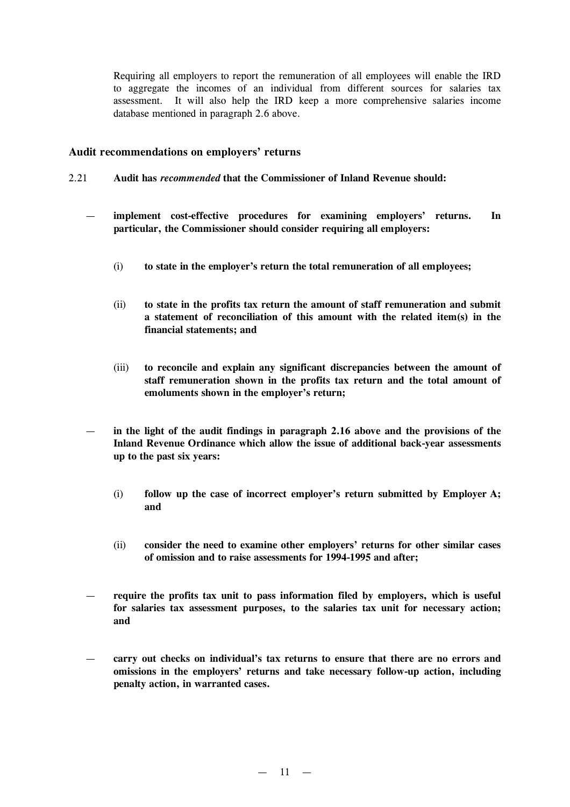Requiring all employers to report the remuneration of all employees will enable the IRD to aggregate the incomes of an individual from different sources for salaries tax assessment. It will also help the IRD keep a more comprehensive salaries income database mentioned in paragraph 2.6 above.

### **Audit recommendations on employers' returns**

- 2.21 **Audit has** *recommended* **that the Commissioner of Inland Revenue should:**
	- **implement cost-effective procedures for examining employers' returns. In particular, the Commissioner should consider requiring all employers:**
		- (i) **to state in the employer's return the total remuneration of all employees;**
		- (ii) **to state in the profits tax return the amount of staff remuneration and submit a statement of reconciliation of this amount with the related item(s) in the financial statements; and**
		- (iii) **to reconcile and explain any significant discrepancies between the amount of staff remuneration shown in the profits tax return and the total amount of emoluments shown in the employer's return;**
	- **in the light of the audit findings in paragraph 2.16 above and the provisions of the Inland Revenue Ordinance which allow the issue of additional back-year assessments up to the past six years:**
		- (i) **follow up the case of incorrect employer's return submitted by Employer A; and**
		- (ii) **consider the need to examine other employers' returns for other similar cases of omission and to raise assessments for 1994-1995 and after;**
	- **require the profits tax unit to pass information filed by employers, which is useful for salaries tax assessment purposes, to the salaries tax unit for necessary action; and**
	- **carry out checks on individual's tax returns to ensure that there are no errors and omissions in the employers' returns and take necessary follow-up action, including penalty action, in warranted cases.**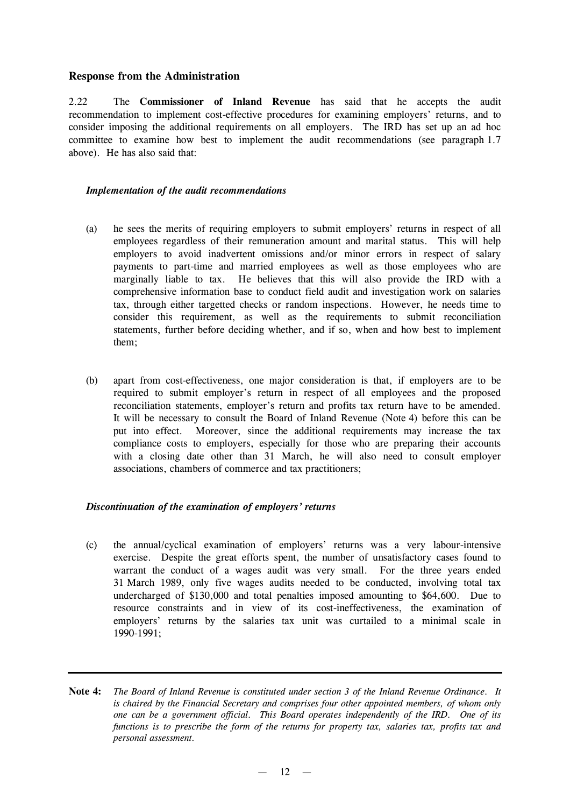# **Response from the Administration**

2.22 The **Commissioner of Inland Revenue** has said that he accepts the audit recommendation to implement cost-effective procedures for examining employers' returns, and to consider imposing the additional requirements on all employers. The IRD has set up an ad hoc committee to examine how best to implement the audit recommendations (see paragraph 1.7 above). He has also said that:

### *Implementation of the audit recommendations*

- (a) he sees the merits of requiring employers to submit employers' returns in respect of all employees regardless of their remuneration amount and marital status. This will help employers to avoid inadvertent omissions and/or minor errors in respect of salary payments to part-time and married employees as well as those employees who are marginally liable to tax. He believes that this will also provide the IRD with a comprehensive information base to conduct field audit and investigation work on salaries tax, through either targetted checks or random inspections. However, he needs time to consider this requirement, as well as the requirements to submit reconciliation statements, further before deciding whether, and if so, when and how best to implement them;
- (b) apart from cost-effectiveness, one major consideration is that, if employers are to be required to submit employer's return in respect of all employees and the proposed reconciliation statements, employer's return and profits tax return have to be amended. It will be necessary to consult the Board of Inland Revenue (Note 4) before this can be put into effect. Moreover, since the additional requirements may increase the tax compliance costs to employers, especially for those who are preparing their accounts with a closing date other than 31 March, he will also need to consult employer associations, chambers of commerce and tax practitioners;

# *Discontinuation of the examination of employers'returns*

- (c) the annual/cyclical examination of employers' returns was a very labour-intensive exercise. Despite the great efforts spent, the number of unsatisfactory cases found to warrant the conduct of a wages audit was very small. For the three years ended 31 March 1989, only five wages audits needed to be conducted, involving total tax undercharged of \$130,000 and total penalties imposed amounting to \$64,600. Due to resource constraints and in view of its cost-ineffectiveness, the examination of employers' returns by the salaries tax unit was curtailed to a minimal scale in 1990-1991;
- Note 4: The Board of Inland Revenue is constituted under section 3 of the Inland Revenue Ordinance. It *is chaired by the Financial Secretary and comprises four other appointed members, of whom only one can be a government official. This Board operates independently of the IRD. One of its functions is to prescribe the form of the returns for property tax, salaries tax, profits tax and personal assessment.*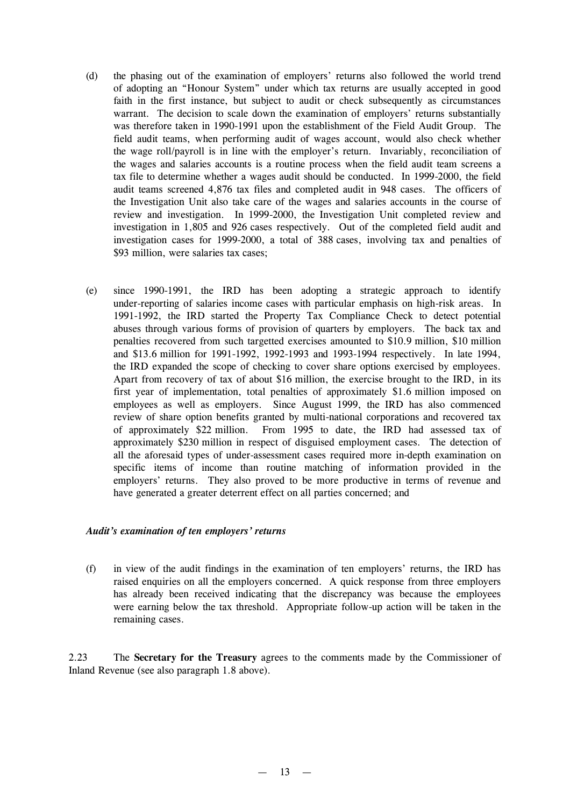- (d) the phasing out of the examination of employers' returns also followed the world trend of adopting an "Honour System" under which tax returns are usually accepted in good faith in the first instance, but subject to audit or check subsequently as circumstances warrant. The decision to scale down the examination of employers' returns substantially was therefore taken in 1990-1991 upon the establishment of the Field Audit Group. The field audit teams, when performing audit of wages account, would also check whether the wage roll/payroll is in line with the employer's return. Invariably, reconciliation of the wages and salaries accounts is a routine process when the field audit team screens a tax file to determine whether a wages audit should be conducted. In 1999-2000, the field audit teams screened 4,876 tax files and completed audit in 948 cases. The officers of the Investigation Unit also take care of the wages and salaries accounts in the course of review and investigation. In 1999-2000, the Investigation Unit completed review and investigation in 1,805 and 926 cases respectively. Out of the completed field audit and investigation cases for 1999-2000, a total of 388 cases, involving tax and penalties of \$93 million, were salaries tax cases;
- (e) since 1990-1991, the IRD has been adopting a strategic approach to identify under-reporting of salaries income cases with particular emphasis on high-risk areas. In 1991-1992, the IRD started the Property Tax Compliance Check to detect potential abuses through various forms of provision of quarters by employers. The back tax and penalties recovered from such targetted exercises amounted to \$10.9 million, \$10 million and \$13.6 million for 1991-1992, 1992-1993 and 1993-1994 respectively. In late 1994, the IRD expanded the scope of checking to cover share options exercised by employees. Apart from recovery of tax of about \$16 million, the exercise brought to the IRD, in its first year of implementation, total penalties of approximately \$1.6 million imposed on employees as well as employers. Since August 1999, the IRD has also commenced review of share option benefits granted by multi-national corporations and recovered tax of approximately \$22 million. From 1995 to date, the IRD had assessed tax of approximately \$230 million in respect of disguised employment cases. The detection of all the aforesaid types of under-assessment cases required more in-depth examination on specific items of income than routine matching of information provided in the employers' returns. They also proved to be more productive in terms of revenue and have generated a greater deterrent effect on all parties concerned; and

### *Audit's examination of ten employers'returns*

(f) in view of the audit findings in the examination of ten employers' returns, the IRD has raised enquiries on all the employers concerned. A quick response from three employers has already been received indicating that the discrepancy was because the employees were earning below the tax threshold. Appropriate follow-up action will be taken in the remaining cases.

2.23 The **Secretary for the Treasury** agrees to the comments made by the Commissioner of Inland Revenue (see also paragraph 1.8 above).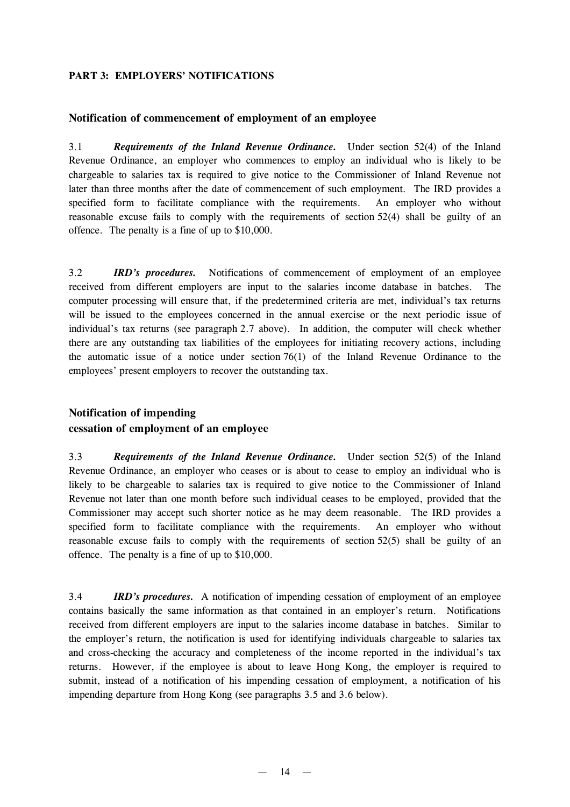# **PART 3: EMPLOYERS'NOTIFICATIONS**

### **Notification of commencement of employment of an employee**

3.1 *Requirements of the Inland Revenue Ordinance.* Under section 52(4) of the Inland Revenue Ordinance, an employer who commences to employ an individual who is likely to be chargeable to salaries tax is required to give notice to the Commissioner of Inland Revenue not later than three months after the date of commencement of such employment. The IRD provides a specified form to facilitate compliance with the requirements. An employer who without reasonable excuse fails to comply with the requirements of section 52(4) shall be guilty of an offence. The penalty is a fine of up to \$10,000.

3.2 *IRD's procedures.* Notifications of commencement of employment of an employee received from different employers are input to the salaries income database in batches. The computer processing will ensure that, if the predetermined criteria are met, individual's tax returns will be issued to the employees concerned in the annual exercise or the next periodic issue of individual's tax returns (see paragraph 2.7 above). In addition, the computer will check whether there are any outstanding tax liabilities of the employees for initiating recovery actions, including the automatic issue of a notice under section 76(1) of the Inland Revenue Ordinance to the employees' present employers to recover the outstanding tax.

# **Notification of impending**

# **cessation of employment of an employee**

3.3 *Requirements of the Inland Revenue Ordinance.* Under section 52(5) of the Inland Revenue Ordinance, an employer who ceases or is about to cease to employ an individual who is likely to be chargeable to salaries tax is required to give notice to the Commissioner of Inland Revenue not later than one month before such individual ceases to be employed, provided that the Commissioner may accept such shorter notice as he may deem reasonable. The IRD provides a specified form to facilitate compliance with the requirements. An employer who without reasonable excuse fails to comply with the requirements of section 52(5) shall be guilty of an offence. The penalty is a fine of up to \$10,000.

3.4 *IRD's procedures.* A notification of impending cessation of employment of an employee contains basically the same information as that contained in an employer's return. Notifications received from different employers are input to the salaries income database in batches. Similar to the employer's return, the notification is used for identifying individuals chargeable to salaries tax and cross-checking the accuracy and completeness of the income reported in the individual's tax returns. However, if the employee is about to leave Hong Kong, the employer is required to submit, instead of a notification of his impending cessation of employment, a notification of his impending departure from Hong Kong (see paragraphs 3.5 and 3.6 below).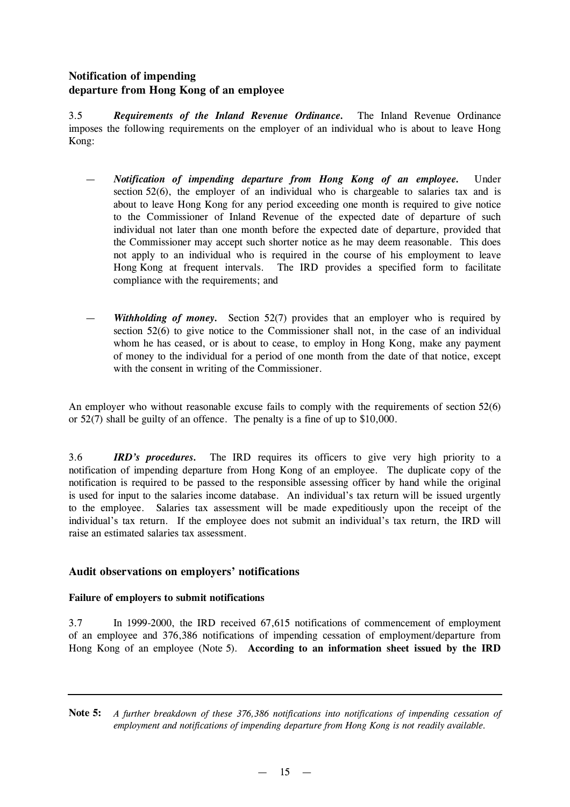# **Notification of impending departure from Hong Kong of an employee**

3.5 *Requirements of the Inland Revenue Ordinance.* The Inland Revenue Ordinance imposes the following requirements on the employer of an individual who is about to leave Hong Kong:

- *Notification of impending departure from Hong Kong of an employee.* Under section  $52(6)$ , the employer of an individual who is chargeable to salaries tax and is about to leave Hong Kong for any period exceeding one month is required to give notice to the Commissioner of Inland Revenue of the expected date of departure of such individual not later than one month before the expected date of departure, provided that the Commissioner may accept such shorter notice as he may deem reasonable. This does not apply to an individual who is required in the course of his employment to leave Hong Kong at frequent intervals. The IRD provides a specified form to facilitate compliance with the requirements; and
- *Withholding of money.* Section 52(7) provides that an employer who is required by section 52(6) to give notice to the Commissioner shall not, in the case of an individual whom he has ceased, or is about to cease, to employ in Hong Kong, make any payment of money to the individual for a period of one month from the date of that notice, except with the consent in writing of the Commissioner.

An employer who without reasonable excuse fails to comply with the requirements of section 52(6) or 52(7) shall be guilty of an offence. The penalty is a fine of up to \$10,000.

3.6 *IRD's procedures.* The IRD requires its officers to give very high priority to a notification of impending departure from Hong Kong of an employee. The duplicate copy of the notification is required to be passed to the responsible assessing officer by hand while the original is used for input to the salaries income database. An individual's tax return will be issued urgently to the employee. Salaries tax assessment will be made expeditiously upon the receipt of the individual's tax return. If the employee does not submit an individual's tax return, the IRD will raise an estimated salaries tax assessment.

# **Audit observations on employers'notifications**

# **Failure of employers to submit notifications**

3.7 In 1999-2000, the IRD received 67,615 notifications of commencement of employment of an employee and 376,386 notifications of impending cessation of employment/departure from Hong Kong of an employee (Note 5). **According to an information sheet issued by the IRD**

**Note 5:** *A further breakdown of these 376,386 notifications into notifications of impending cessation of employment and notifications of impending departure from Hong Kong is not readily available.*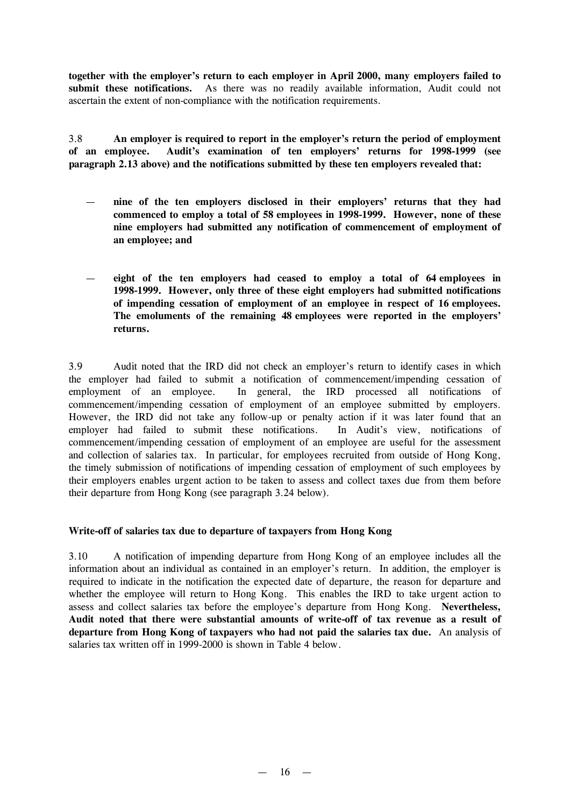**together with the employer's return to each employer in April 2000, many employers failed to submit these notifications.** As there was no readily available information, Audit could not ascertain the extent of non-compliance with the notification requirements.

3.8 **An employer is required to report in the employer's return the period of employment of an employee. Audit's examination of ten employers' returns for 1998-1999 (see paragraph 2.13 above) and the notifications submitted by these ten employers revealed that:**

- **nine of the ten employers disclosed in their employers' returns that they had commenced to employ a total of 58 employees in 1998-1999. However, none of these nine employers had submitted any notification of commencement of employment of an employee; and**
- **eight of the ten employers had ceased to employ a total of 64 employees in 1998-1999. However, only three of these eight employers had submitted notifications of impending cessation of employment of an employee in respect of 16 employees. The emoluments of the remaining 48 employees were reported in the employers' returns.**

3.9 Audit noted that the IRD did not check an employer's return to identify cases in which the employer had failed to submit a notification of commencement/impending cessation of employment of an employee. In general, the IRD processed all notifications of commencement/impending cessation of employment of an employee submitted by employers. However, the IRD did not take any follow-up or penalty action if it was later found that an employer had failed to submit these notifications. In Audit's view, notifications of commencement/impending cessation of employment of an employee are useful for the assessment and collection of salaries tax. In particular, for employees recruited from outside of Hong Kong, the timely submission of notifications of impending cessation of employment of such employees by their employers enables urgent action to be taken to assess and collect taxes due from them before their departure from Hong Kong (see paragraph 3.24 below).

### **Write-off of salaries tax due to departure of taxpayers from Hong Kong**

3.10 A notification of impending departure from Hong Kong of an employee includes all the information about an individual as contained in an employer's return. In addition, the employer is required to indicate in the notification the expected date of departure, the reason for departure and whether the employee will return to Hong Kong. This enables the IRD to take urgent action to assess and collect salaries tax before the employee's departure from Hong Kong. **Nevertheless, Audit noted that there were substantial amounts of write-off of tax revenue as a result of departure from Hong Kong of taxpayers who had not paid the salaries tax due.** An analysis of salaries tax written off in 1999-2000 is shown in Table 4 below.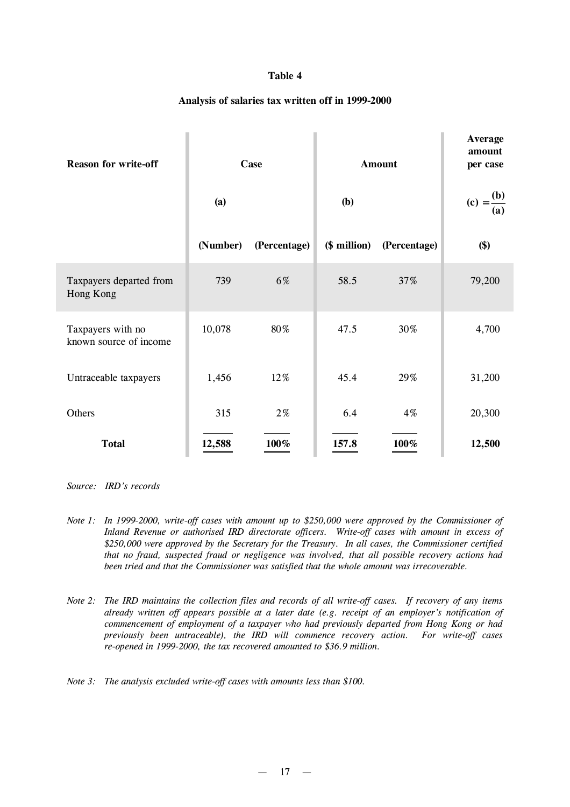### **Table 4**

### **Analysis of salaries tax written off in 1999-2000**

| <b>Reason for write-off</b>                 |          | Case         |              | <b>Amount</b> | <b>Average</b><br>amount<br>per case |
|---------------------------------------------|----------|--------------|--------------|---------------|--------------------------------------|
|                                             | (a)      |              | <b>(b)</b>   |               | $(c) = \frac{(b)}{c}$<br>(a)         |
|                                             | (Number) | (Percentage) | (\$ million) | (Percentage)  | \$)                                  |
| Taxpayers departed from<br>Hong Kong        | 739      | 6%           | 58.5         | 37%           | 79,200                               |
| Taxpayers with no<br>known source of income | 10,078   | 80%          | 47.5         | 30%           | 4,700                                |
| Untraceable taxpayers                       | 1,456    | 12%          | 45.4         | 29%           | 31,200                               |
| Others                                      | 315      | $2\%$        | 6.4          | $4\%$         | 20,300                               |
| <b>Total</b>                                | 12,588   | 100%         | 157.8        | 100%          | 12,500                               |

*Source: IRD's records*

- *Note 1: In 1999-2000, write-off cases with amount up to \$250,000 were approved by the Commissioner of Inland Revenue or authorised IRD directorate officers. Write-off cases with amount in excess of \$250,000 were approved by the Secretary for the Treasury. In all cases, the Commissioner certified that no fraud, suspected fraud or negligence was involved, that all possible recovery actions had been tried and that the Commissioner was satisfied that the whole amount was irrecoverable.*
- Note 2: The IRD maintains the collection files and records of all write-off cases. If recovery of any items *already written off appears possible at a later date (e.g. receipt of an employer's notification of commencement of employment of a taxpayer who had previously departed from Hong Kong or had previously been untraceable), the IRD will commence recovery action. For write-off cases re-opened in 1999-2000, the tax recovered amounted to \$36.9 million.*

*Note 3: The analysis excluded write-off cases with amounts less than \$100.*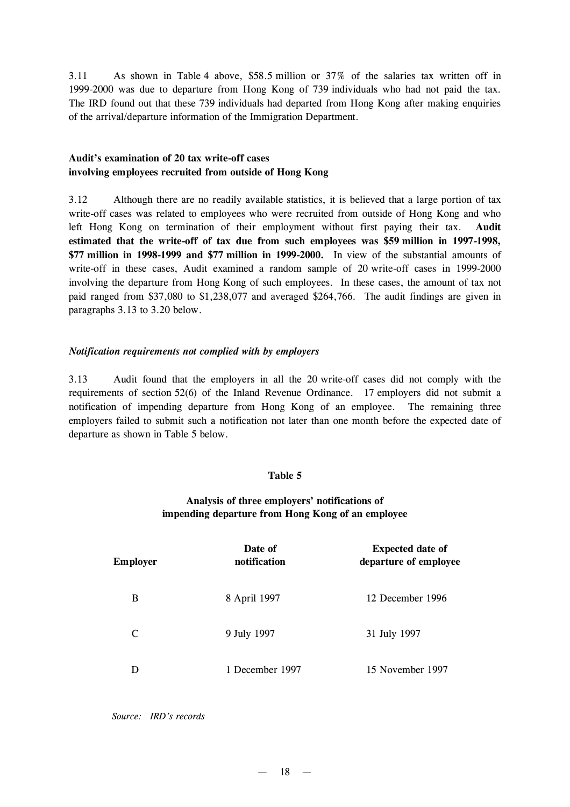3.11 As shown in Table 4 above, \$58.5 million or 37% of the salaries tax written off in 1999-2000 was due to departure from Hong Kong of 739 individuals who had not paid the tax. The IRD found out that these 739 individuals had departed from Hong Kong after making enquiries of the arrival/departure information of the Immigration Department.

### **Audit's examination of 20 tax write-off cases involving employees recruited from outside of Hong Kong**

3.12 Although there are no readily available statistics, it is believed that a large portion of tax write-off cases was related to employees who were recruited from outside of Hong Kong and who left Hong Kong on termination of their employment without first paying their tax. **Audit estimated that the write-off of tax due from such employees was \$59 million in 1997-1998, \$77 million in 1998-1999 and \$77 million in 1999-2000.** In view of the substantial amounts of write-off in these cases, Audit examined a random sample of 20 write-off cases in 1999-2000 involving the departure from Hong Kong of such employees. In these cases, the amount of tax not paid ranged from \$37,080 to \$1,238,077 and averaged \$264,766. The audit findings are given in paragraphs 3.13 to 3.20 below.

## *Notification requirements not complied with by employers*

3.13 Audit found that the employers in all the 20 write-off cases did not comply with the requirements of section 52(6) of the Inland Revenue Ordinance. 17 employers did not submit a notification of impending departure from Hong Kong of an employee. The remaining three employers failed to submit such a notification not later than one month before the expected date of departure as shown in Table 5 below.

### **Table 5**

# **Analysis of three employers' notifications of impending departure from Hong Kong of an employee**

| <b>Employer</b> | Date of<br>notification | <b>Expected date of</b><br>departure of employee |
|-----------------|-------------------------|--------------------------------------------------|
| В               | 8 April 1997            | 12 December 1996                                 |
| C               | 9 July 1997             | 31 July 1997                                     |
| D               | 1 December 1997         | 15 November 1997                                 |

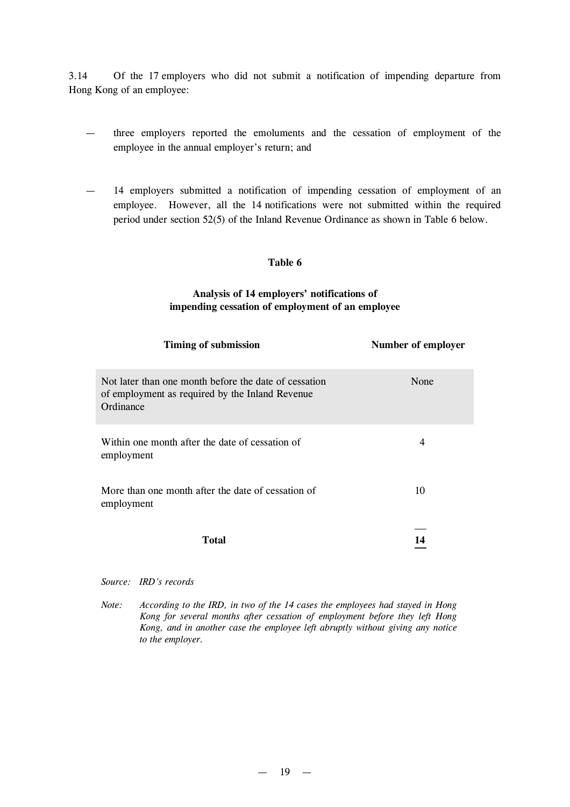3.14 Of the 17 employers who did not submit a notification of impending departure from Hong Kong of an employee:

- three employers reported the emoluments and the cessation of employment of the employee in the annual employer's return; and
- 14 employers submitted a notification of impending cessation of employment of an employee. However, all the 14 notifications were not submitted within the required period under section 52(5) of the Inland Revenue Ordinance as shown in Table 6 below.

### **Table 6**

## **Analysis of 14 employers' notifications of impending cessation of employment of an employee**

| <b>Timing of submission</b>                                                                                           | Number of employer |
|-----------------------------------------------------------------------------------------------------------------------|--------------------|
| Not later than one month before the date of cessation<br>of employment as required by the Inland Revenue<br>Ordinance | None               |
| Within one month after the date of cessation of<br>employment                                                         | 4                  |
| More than one month after the date of cessation of<br>employment                                                      | 10                 |
| Total                                                                                                                 |                    |

#### *Source: IRD's records*

*Note: According to the IRD, in two of the 14 cases the employees had stayed in Hong Kong for several months after cessation of employment before they left Hong Kong, and in another case the employee left abruptly without giving any notice to the employer.*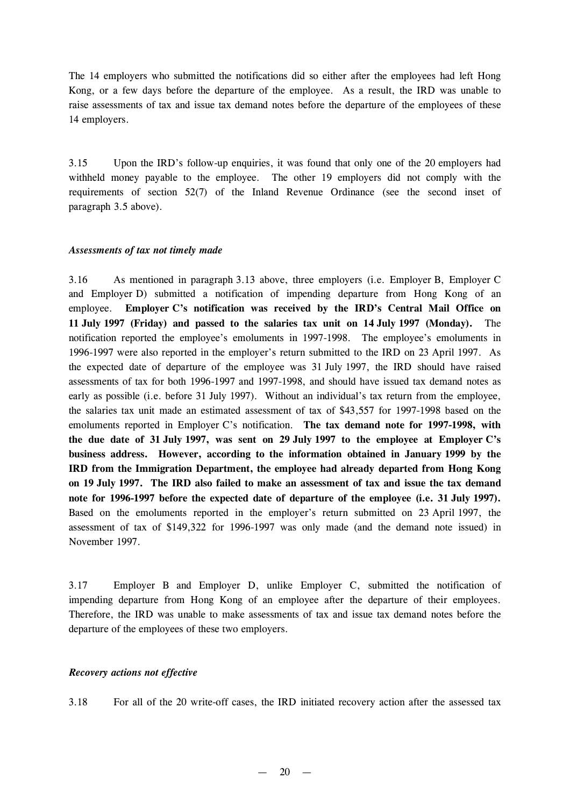The 14 employers who submitted the notifications did so either after the employees had left Hong Kong, or a few days before the departure of the employee. As a result, the IRD was unable to raise assessments of tax and issue tax demand notes before the departure of the employees of these 14 employers.

3.15 Upon the IRD's follow-up enquiries, it was found that only one of the 20 employers had withheld money payable to the employee. The other 19 employers did not comply with the requirements of section 52(7) of the Inland Revenue Ordinance (see the second inset of paragraph 3.5 above).

### *Assessments of tax not timely made*

3.16 As mentioned in paragraph 3.13 above, three employers (i.e. Employer B, Employer C and Employer D) submitted a notification of impending departure from Hong Kong of an employee. **Employer C's notification was received by the IRD's Central Mail Office on 11 July 1997 (Friday) and passed to the salaries tax unit on 14 July 1997 (Monday).** The notification reported the employee's emoluments in 1997-1998. The employee's emoluments in 1996-1997 were also reported in the employer's return submitted to the IRD on 23 April 1997. As the expected date of departure of the employee was 31 July 1997, the IRD should have raised assessments of tax for both 1996-1997 and 1997-1998, and should have issued tax demand notes as early as possible (i.e. before 31 July 1997). Without an individual's tax return from the employee, the salaries tax unit made an estimated assessment of tax of \$43,557 for 1997-1998 based on the emoluments reported in Employer C's notification. **The tax demand note for 1997-1998, with the due date of 31 July 1997, was sent on 29 July 1997 to the employee at Employer C's business address. However, according to the information obtained in January 1999 by the IRD from the Immigration Department, the employee had already departed from Hong Kong on 19 July 1997. The IRD also failed to make an assessment of tax and issue the tax demand note for 1996-1997 before the expected date of departure of the employee (i.e. 31 July 1997).** Based on the emoluments reported in the employer's return submitted on 23 April 1997, the assessment of tax of \$149,322 for 1996-1997 was only made (and the demand note issued) in November 1997.

3.17 Employer B and Employer D, unlike Employer C, submitted the notification of impending departure from Hong Kong of an employee after the departure of their employees. Therefore, the IRD was unable to make assessments of tax and issue tax demand notes before the departure of the employees of these two employers.

### *Recovery actions not effective*

3.18 For all of the 20 write-off cases, the IRD initiated recovery action after the assessed tax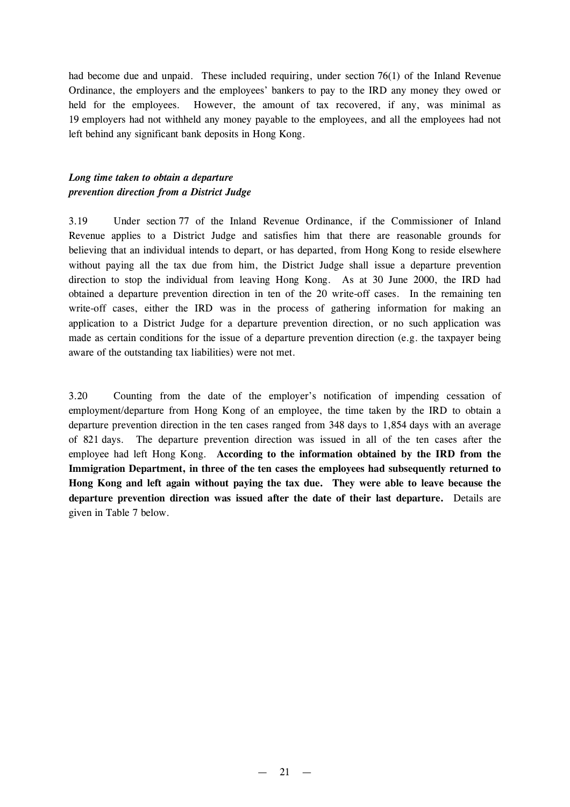had become due and unpaid. These included requiring, under section 76(1) of the Inland Revenue Ordinance, the employers and the employees' bankers to pay to the IRD any money they owed or held for the employees. However, the amount of tax recovered, if any, was minimal as 19 employers had not withheld any money payable to the employees, and all the employees had not left behind any significant bank deposits in Hong Kong.

# *Long time taken to obtain a departure prevention direction from a District Judge*

3.19 Under section 77 of the Inland Revenue Ordinance, if the Commissioner of Inland Revenue applies to a District Judge and satisfies him that there are reasonable grounds for believing that an individual intends to depart, or has departed, from Hong Kong to reside elsewhere without paying all the tax due from him, the District Judge shall issue a departure prevention direction to stop the individual from leaving Hong Kong. As at 30 June 2000, the IRD had obtained a departure prevention direction in ten of the 20 write-off cases. In the remaining ten write-off cases, either the IRD was in the process of gathering information for making an application to a District Judge for a departure prevention direction, or no such application was made as certain conditions for the issue of a departure prevention direction (e.g. the taxpayer being aware of the outstanding tax liabilities) were not met.

3.20 Counting from the date of the employer's notification of impending cessation of employment/departure from Hong Kong of an employee, the time taken by the IRD to obtain a departure prevention direction in the ten cases ranged from 348 days to 1,854 days with an average of 821 days. The departure prevention direction was issued in all of the ten cases after the employee had left Hong Kong. **According to the information obtained by the IRD from the Immigration Department, in three of the ten cases the employees had subsequently returned to Hong Kong and left again without paying the tax due. They were able to leave because the departure prevention direction was issued after the date of their last departure.** Details are given in Table 7 below.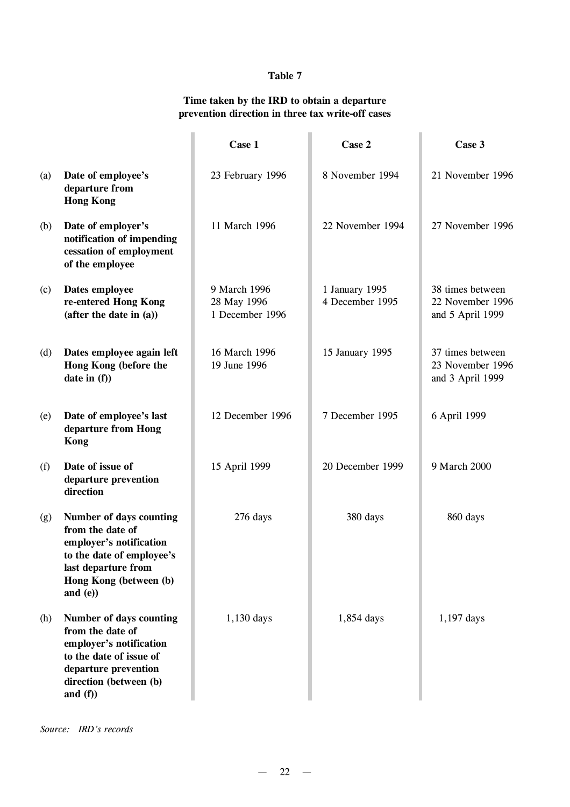# **Table 7**

# **Time taken by the IRD to obtain a departure prevention direction in three tax write-off cases**

|     |                                                                                                                                                                     | Case 1                                         | Case 2                            | Case 3                                                   |
|-----|---------------------------------------------------------------------------------------------------------------------------------------------------------------------|------------------------------------------------|-----------------------------------|----------------------------------------------------------|
| (a) | Date of employee's<br>departure from<br><b>Hong Kong</b>                                                                                                            | 23 February 1996                               | 8 November 1994                   | 21 November 1996                                         |
| (b) | Date of employer's<br>notification of impending<br>cessation of employment<br>of the employee                                                                       | 11 March 1996                                  | 22 November 1994                  | 27 November 1996                                         |
| (c) | Dates employee<br>re-entered Hong Kong<br>(after the date in (a))                                                                                                   | 9 March 1996<br>28 May 1996<br>1 December 1996 | 1 January 1995<br>4 December 1995 | 38 times between<br>22 November 1996<br>and 5 April 1999 |
| (d) | Dates employee again left<br>Hong Kong (before the<br>date in $(f)$ )                                                                                               | 16 March 1996<br>19 June 1996                  | 15 January 1995                   | 37 times between<br>23 November 1996<br>and 3 April 1999 |
| (e) | Date of employee's last<br>departure from Hong<br><b>Kong</b>                                                                                                       | 12 December 1996                               | 7 December 1995                   | 6 April 1999                                             |
| (f) | Date of issue of<br>departure prevention<br>direction                                                                                                               | 15 April 1999                                  | 20 December 1999                  | 9 March 2000                                             |
| (g) | Number of days counting<br>from the date of<br>employer's notification<br>to the date of employee's<br>last departure from<br>Hong Kong (between (b)<br>and $(e)$ ) | 276 days                                       | 380 days                          | 860 days                                                 |
| (h) | Number of days counting<br>from the date of<br>employer's notification<br>to the date of issue of<br>departure prevention<br>direction (between (b)<br>and $(f)$    | 1,130 days                                     | 1,854 days                        | 1,197 days                                               |

*Source: IRD's records*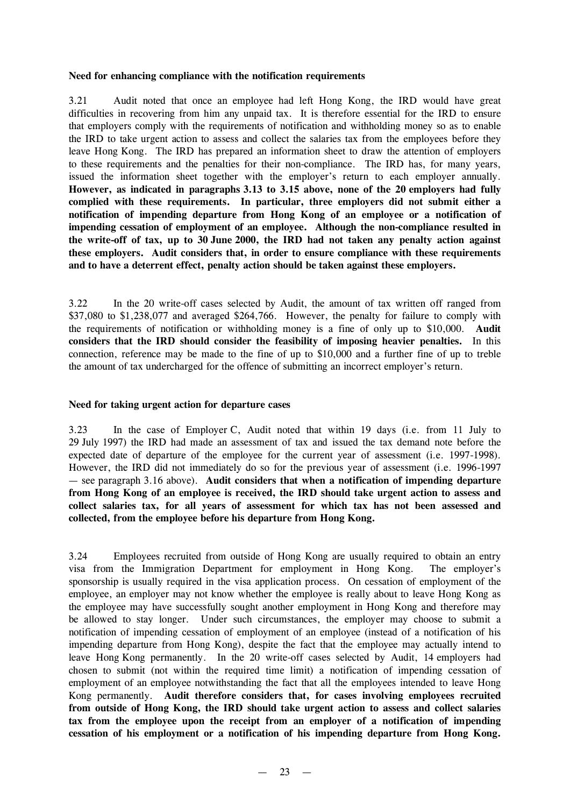### **Need for enhancing compliance with the notification requirements**

3.21 Audit noted that once an employee had left Hong Kong, the IRD would have great difficulties in recovering from him any unpaid tax. It is therefore essential for the IRD to ensure that employers comply with the requirements of notification and withholding money so as to enable the IRD to take urgent action to assess and collect the salaries tax from the employees before they leave Hong Kong. The IRD has prepared an information sheet to draw the attention of employers to these requirements and the penalties for their non-compliance. The IRD has, for many years, issued the information sheet together with the employer's return to each employer annually. **However, as indicated in paragraphs 3.13 to 3.15 above, none of the 20 employers had fully complied with these requirements. In particular, three employers did not submit either a notification of impending departure from Hong Kong of an employee or a notification of impending cessation of employment of an employee. Although the non-compliance resulted in the write-off of tax, up to 30 June 2000, the IRD had not taken any penalty action against these employers. Audit considers that, in order to ensure compliance with these requirements and to have a deterrent effect, penalty action should be taken against these employers.**

3.22 In the 20 write-off cases selected by Audit, the amount of tax written off ranged from \$37,080 to \$1,238,077 and averaged \$264,766. However, the penalty for failure to comply with the requirements of notification or withholding money is a fine of only up to \$10,000. **Audit considers that the IRD should consider the feasibility of imposing heavier penalties.** In this connection, reference may be made to the fine of up to \$10,000 and a further fine of up to treble the amount of tax undercharged for the offence of submitting an incorrect employer's return.

### **Need for taking urgent action for departure cases**

3.23 In the case of Employer C, Audit noted that within 19 days (i.e. from 11 July to 29 July 1997) the IRD had made an assessment of tax and issued the tax demand note before the expected date of departure of the employee for the current year of assessment (i.e. 1997-1998). However, the IRD did not immediately do so for the previous year of assessment (i.e. 1996-1997 — see paragraph 3.16 above). **Audit considers that when a notification of impending departure from Hong Kong of an employee is received, the IRD should take urgent action to assess and collect salaries tax, for all years of assessment for which tax has not been assessed and collected, from the employee before his departure from Hong Kong.**

3.24 Employees recruited from outside of Hong Kong are usually required to obtain an entry visa from the Immigration Department for employment in Hong Kong. The employer's sponsorship is usually required in the visa application process. On cessation of employment of the employee, an employer may not know whether the employee is really about to leave Hong Kong as the employee may have successfully sought another employment in Hong Kong and therefore may be allowed to stay longer. Under such circumstances, the employer may choose to submit a notification of impending cessation of employment of an employee (instead of a notification of his impending departure from Hong Kong), despite the fact that the employee may actually intend to leave Hong Kong permanently. In the 20 write-off cases selected by Audit, 14 employers had chosen to submit (not within the required time limit) a notification of impending cessation of employment of an employee notwithstanding the fact that all the employees intended to leave Hong Kong permanently. **Audit therefore considers that, for cases involving employees recruited from outside of Hong Kong, the IRD should take urgent action to assess and collect salaries tax from the employee upon the receipt from an employer of a notification of impending cessation of his employment or a notification of his impending departure from Hong Kong.**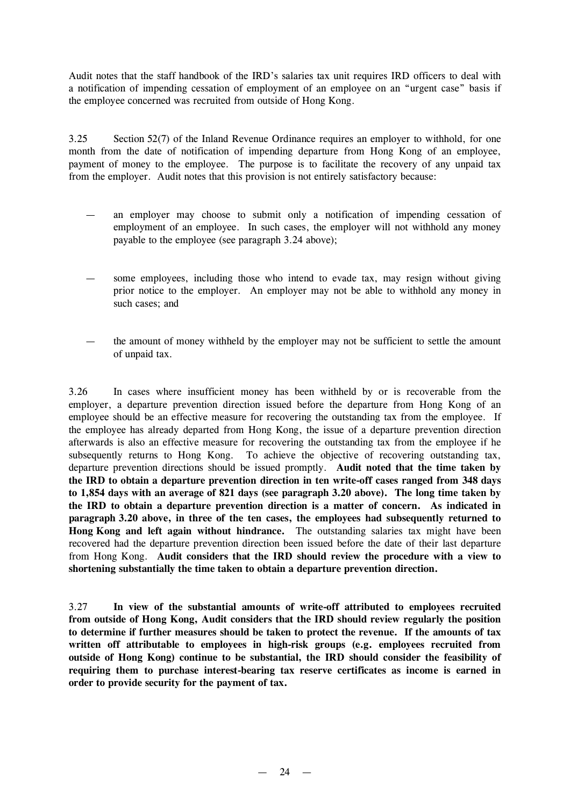Audit notes that the staff handbook of the IRD's salaries tax unit requires IRD officers to deal with a notification of impending cessation of employment of an employee on an "urgent case" basis if the employee concerned was recruited from outside of Hong Kong.

3.25 Section 52(7) of the Inland Revenue Ordinance requires an employer to withhold, for one month from the date of notification of impending departure from Hong Kong of an employee, payment of money to the employee. The purpose is to facilitate the recovery of any unpaid tax from the employer. Audit notes that this provision is not entirely satisfactory because:

- an employer may choose to submit only a notification of impending cessation of employment of an employee. In such cases, the employer will not withhold any money payable to the employee (see paragraph 3.24 above);
- some employees, including those who intend to evade tax, may resign without giving prior notice to the employer. An employer may not be able to withhold any money in such cases; and
- the amount of money withheld by the employer may not be sufficient to settle the amount of unpaid tax.

3.26 In cases where insufficient money has been withheld by or is recoverable from the employer, a departure prevention direction issued before the departure from Hong Kong of an employee should be an effective measure for recovering the outstanding tax from the employee. If the employee has already departed from Hong Kong, the issue of a departure prevention direction afterwards is also an effective measure for recovering the outstanding tax from the employee if he subsequently returns to Hong Kong. To achieve the objective of recovering outstanding tax, departure prevention directions should be issued promptly. **Audit noted that the time taken by the IRD to obtain a departure prevention direction in ten write-off cases ranged from 348 days to 1,854 days with an average of 821 days (see paragraph 3.20 above). The long time taken by the IRD to obtain a departure prevention direction is a matter of concern. As indicated in paragraph 3.20 above, in three of the ten cases, the employees had subsequently returned to Hong Kong and left again without hindrance.** The outstanding salaries tax might have been recovered had the departure prevention direction been issued before the date of their last departure from Hong Kong. **Audit considers that the IRD should review the procedure with a view to shortening substantially the time taken to obtain a departure prevention direction.**

3.27 **In view of the substantial amounts of write-off attributed to employees recruited from outside of Hong Kong, Audit considers that the IRD should review regularly the position to determine if further measures should be taken to protect the revenue. If the amounts of tax written off attributable to employees in high-risk groups (e.g. employees recruited from outside of Hong Kong) continue to be substantial, the IRD should consider the feasibility of requiring them to purchase interest-bearing tax reserve certificates as income is earned in order to provide security for the payment of tax.**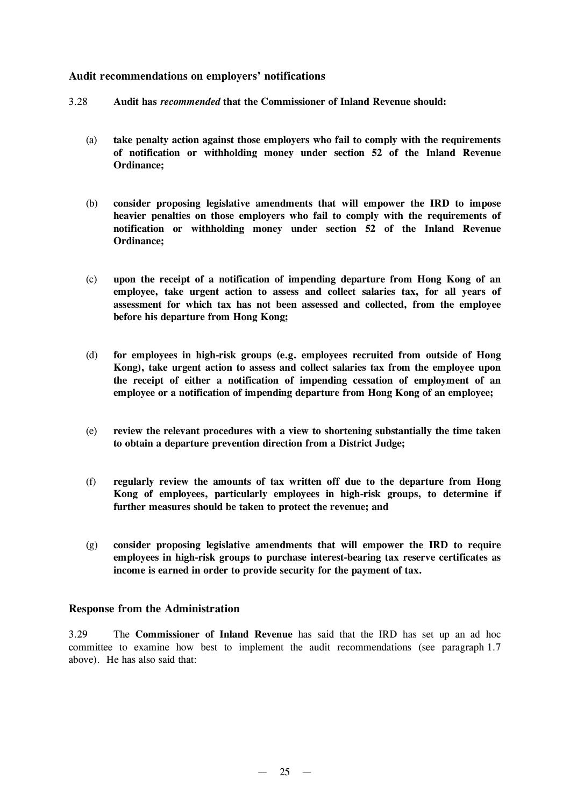# **Audit recommendations on employers' notifications**

- 3.28 **Audit has** *recommended* **that the Commissioner of Inland Revenue should:**
	- (a) **take penalty action against those employers who fail to comply with the requirements of notification or withholding money under section 52 of the Inland Revenue Ordinance;**
	- (b) **consider proposing legislative amendments that will empower the IRD to impose heavier penalties on those employers who fail to comply with the requirements of notification or withholding money under section 52 of the Inland Revenue Ordinance;**
	- (c) **upon the receipt of a notification of impending departure from Hong Kong of an employee, take urgent action to assess and collect salaries tax, for all years of assessment for which tax has not been assessed and collected, from the employee before his departure from Hong Kong;**
	- (d) **for employees in high-risk groups (e.g. employees recruited from outside of Hong Kong), take urgent action to assess and collect salaries tax from the employee upon the receipt of either a notification of impending cessation of employment of an employee or a notification of impending departure from Hong Kong of an employee;**
	- (e) **review the relevant procedures with a view to shortening substantially the time taken to obtain a departure prevention direction from a District Judge;**
	- (f) **regularly review the amounts of tax written off due to the departure from Hong Kong of employees, particularly employees in high-risk groups, to determine if further measures should be taken to protect the revenue; and**
	- (g) **consider proposing legislative amendments that will empower the IRD to require employees in high-risk groups to purchase interest-bearing tax reserve certificates as income is earned in order to provide security for the payment of tax.**

### **Response from the Administration**

3.29 The **Commissioner of Inland Revenue** has said that the IRD has set up an ad hoc committee to examine how best to implement the audit recommendations (see paragraph 1.7 above). He has also said that: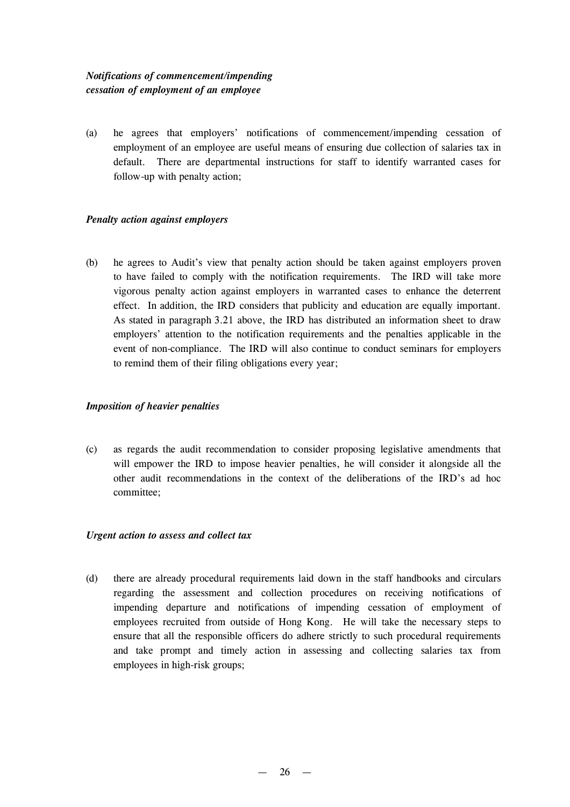# *Notifications of commencement/impending cessation of employment of an employee*

(a) he agrees that employers' notifications of commencement/impending cessation of employment of an employee are useful means of ensuring due collection of salaries tax in default. There are departmental instructions for staff to identify warranted cases for follow-up with penalty action;

## *Penalty action against employers*

(b) he agrees to Audit's view that penalty action should be taken against employers proven to have failed to comply with the notification requirements. The IRD will take more vigorous penalty action against employers in warranted cases to enhance the deterrent effect. In addition, the IRD considers that publicity and education are equally important. As stated in paragraph 3.21 above, the IRD has distributed an information sheet to draw employers' attention to the notification requirements and the penalties applicable in the event of non-compliance. The IRD will also continue to conduct seminars for employers to remind them of their filing obligations every year;

### *Imposition of heavier penalties*

(c) as regards the audit recommendation to consider proposing legislative amendments that will empower the IRD to impose heavier penalties, he will consider it alongside all the other audit recommendations in the context of the deliberations of the IRD's ad hoc committee;

### *Urgent action to assess and collect tax*

(d) there are already procedural requirements laid down in the staff handbooks and circulars regarding the assessment and collection procedures on receiving notifications of impending departure and notifications of impending cessation of employment of employees recruited from outside of Hong Kong. He will take the necessary steps to ensure that all the responsible officers do adhere strictly to such procedural requirements and take prompt and timely action in assessing and collecting salaries tax from employees in high-risk groups;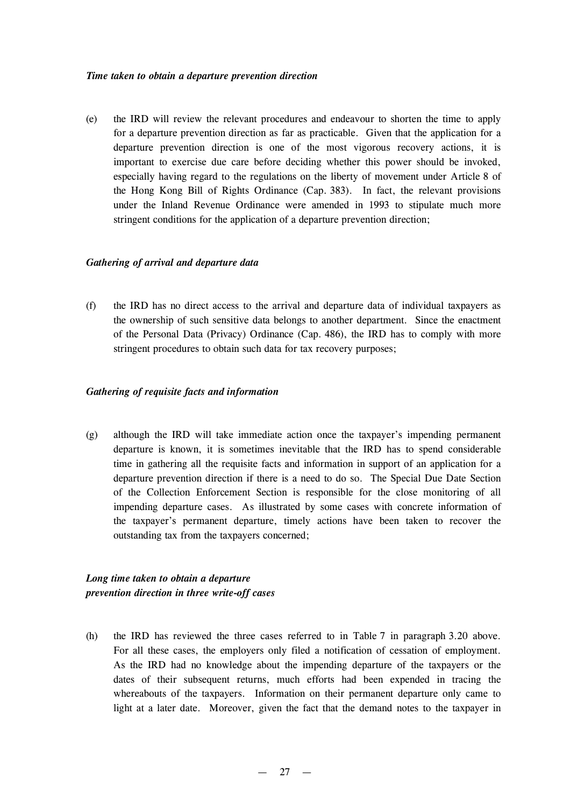#### *Time taken to obtain a departure prevention direction*

(e) the IRD will review the relevant procedures and endeavour to shorten the time to apply for a departure prevention direction as far as practicable. Given that the application for a departure prevention direction is one of the most vigorous recovery actions, it is important to exercise due care before deciding whether this power should be invoked, especially having regard to the regulations on the liberty of movement under Article 8 of the Hong Kong Bill of Rights Ordinance (Cap. 383). In fact, the relevant provisions under the Inland Revenue Ordinance were amended in 1993 to stipulate much more stringent conditions for the application of a departure prevention direction;

### *Gathering of arrival and departure data*

(f) the IRD has no direct access to the arrival and departure data of individual taxpayers as the ownership of such sensitive data belongs to another department. Since the enactment of the Personal Data (Privacy) Ordinance (Cap. 486), the IRD has to comply with more stringent procedures to obtain such data for tax recovery purposes;

### *Gathering of requisite facts and information*

(g) although the IRD will take immediate action once the taxpayer's impending permanent departure is known, it is sometimes inevitable that the IRD has to spend considerable time in gathering all the requisite facts and information in support of an application for a departure prevention direction if there is a need to do so. The Special Due Date Section of the Collection Enforcement Section is responsible for the close monitoring of all impending departure cases. As illustrated by some cases with concrete information of the taxpayer's permanent departure, timely actions have been taken to recover the outstanding tax from the taxpayers concerned;

# *Long time taken to obtain a departure prevention direction in three write-off cases*

(h) the IRD has reviewed the three cases referred to in Table 7 in paragraph 3.20 above. For all these cases, the employers only filed a notification of cessation of employment. As the IRD had no knowledge about the impending departure of the taxpayers or the dates of their subsequent returns, much efforts had been expended in tracing the whereabouts of the taxpayers. Information on their permanent departure only came to light at a later date. Moreover, given the fact that the demand notes to the taxpayer in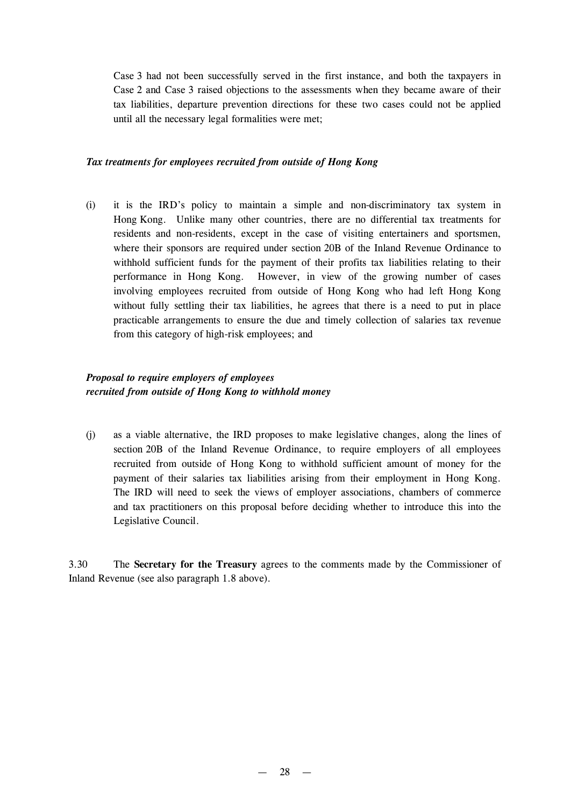Case 3 had not been successfully served in the first instance, and both the taxpayers in Case 2 and Case 3 raised objections to the assessments when they became aware of their tax liabilities, departure prevention directions for these two cases could not be applied until all the necessary legal formalities were met;

### *Tax treatments for employees recruited from outside of Hong Kong*

(i) it is the IRD's policy to maintain a simple and non-discriminatory tax system in Hong Kong. Unlike many other countries, there are no differential tax treatments for residents and non-residents, except in the case of visiting entertainers and sportsmen, where their sponsors are required under section 20B of the Inland Revenue Ordinance to withhold sufficient funds for the payment of their profits tax liabilities relating to their performance in Hong Kong. However, in view of the growing number of cases involving employees recruited from outside of Hong Kong who had left Hong Kong without fully settling their tax liabilities, he agrees that there is a need to put in place practicable arrangements to ensure the due and timely collection of salaries tax revenue from this category of high-risk employees; and

# *Proposal to require employers of employees recruited from outside of Hong Kong to withhold money*

(j) as a viable alternative, the IRD proposes to make legislative changes, along the lines of section 20B of the Inland Revenue Ordinance, to require employers of all employees recruited from outside of Hong Kong to withhold sufficient amount of money for the payment of their salaries tax liabilities arising from their employment in Hong Kong. The IRD will need to seek the views of employer associations, chambers of commerce and tax practitioners on this proposal before deciding whether to introduce this into the Legislative Council.

3.30 The **Secretary for the Treasury** agrees to the comments made by the Commissioner of Inland Revenue (see also paragraph 1.8 above).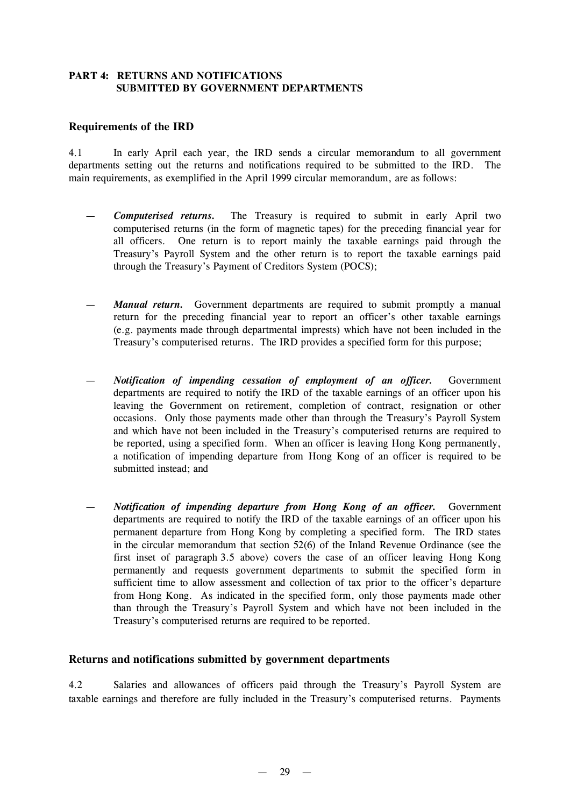# **PART 4: RETURNS AND NOTIFICATIONS SUBMITTED BY GOVERNMENT DEPARTMENTS**

## **Requirements of the IRD**

4.1 In early April each year, the IRD sends a circular memorandum to all government departments setting out the returns and notifications required to be submitted to the IRD. The main requirements, as exemplified in the April 1999 circular memorandum, are as follows:

- *Computerised returns.* The Treasury is required to submit in early April two computerised returns (in the form of magnetic tapes) for the preceding financial year for all officers. One return is to report mainly the taxable earnings paid through the Treasury's Payroll System and the other return is to report the taxable earnings paid through the Treasury's Payment of Creditors System (POCS);
- *Manual return.* Government departments are required to submit promptly a manual return for the preceding financial year to report an officer's other taxable earnings (e.g. payments made through departmental imprests) which have not been included in the Treasury's computerised returns. The IRD provides a specified form for this purpose;
- *Notification of impending cessation of employment of an officer.* Government departments are required to notify the IRD of the taxable earnings of an officer upon his leaving the Government on retirement, completion of contract, resignation or other occasions. Only those payments made other than through the Treasury's Payroll System and which have not been included in the Treasury's computerised returns are required to be reported, using a specified form. When an officer is leaving Hong Kong permanently, a notification of impending departure from Hong Kong of an officer is required to be submitted instead; and
- *Notification of impending departure from Hong Kong of an officer.* Government departments are required to notify the IRD of the taxable earnings of an officer upon his permanent departure from Hong Kong by completing a specified form. The IRD states in the circular memorandum that section 52(6) of the Inland Revenue Ordinance (see the first inset of paragraph 3.5 above) covers the case of an officer leaving Hong Kong permanently and requests government departments to submit the specified form in sufficient time to allow assessment and collection of tax prior to the officer's departure from Hong Kong. As indicated in the specified form, only those payments made other than through the Treasury's Payroll System and which have not been included in the Treasury's computerised returns are required to be reported.

### **Returns and notifications submitted by government departments**

4.2 Salaries and allowances of officers paid through the Treasury's Payroll System are taxable earnings and therefore are fully included in the Treasury's computerised returns. Payments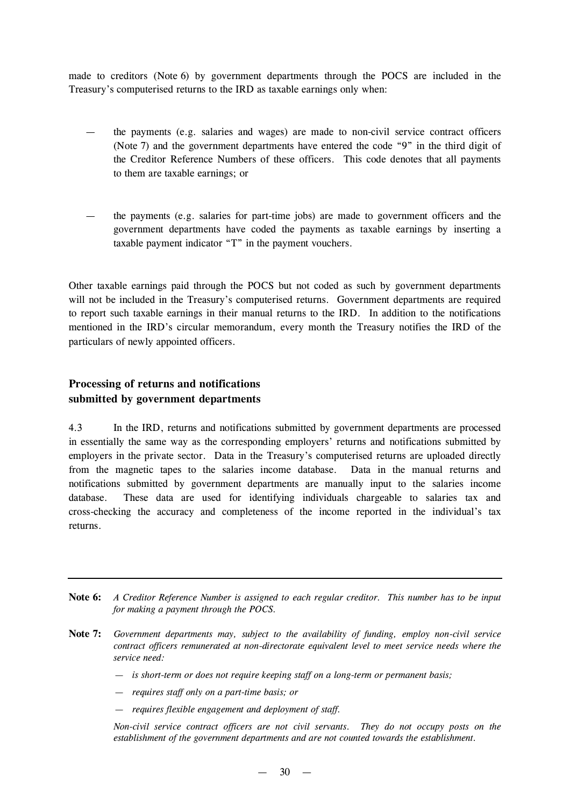made to creditors (Note 6) by government departments through the POCS are included in the Treasury's computerised returns to the IRD as taxable earnings only when:

- the payments (e.g. salaries and wages) are made to non-civil service contract officers (Note 7) and the government departments have entered the code "9" in the third digit of the Creditor Reference Numbers of these officers. This code denotes that all payments to them are taxable earnings; or
- the payments (e.g. salaries for part-time jobs) are made to government officers and the government departments have coded the payments as taxable earnings by inserting a taxable payment indicator "T" in the payment vouchers.

Other taxable earnings paid through the POCS but not coded as such by government departments will not be included in the Treasury's computerised returns. Government departments are required to report such taxable earnings in their manual returns to the IRD. In addition to the notifications mentioned in the IRD's circular memorandum, every month the Treasury notifies the IRD of the particulars of newly appointed officers.

# **Processing of returns and notifications submitted by government departments**

4.3 In the IRD, returns and notifications submitted by government departments are processed in essentially the same way as the corresponding employers' returns and notifications submitted by employers in the private sector. Data in the Treasury's computerised returns are uploaded directly from the magnetic tapes to the salaries income database. Data in the manual returns and notifications submitted by government departments are manually input to the salaries income database. These data are used for identifying individuals chargeable to salaries tax and cross-checking the accuracy and completeness of the income reported in the individual's tax returns.

- Note 6: A Creditor Reference Number is assigned to each regular creditor. This number has to be input *for making a payment through the POCS.*
- **Note 7:** *Government departments may, subject to the availability of funding, employ non-civil service contract officers remunerated at non-directorate equivalent level to meet service needs where the service need:*
	- *— is short-term or does not require keeping staff on a long-term or permanent basis;*
	- *— requires staff only on a part-time basis; or*
	- *— requires flexible engagement and deployment of staff.*

*Non-civil service contract officers are not civil servants. They do not occupy posts on the establishment of the government departments and are not counted towards the establishment.*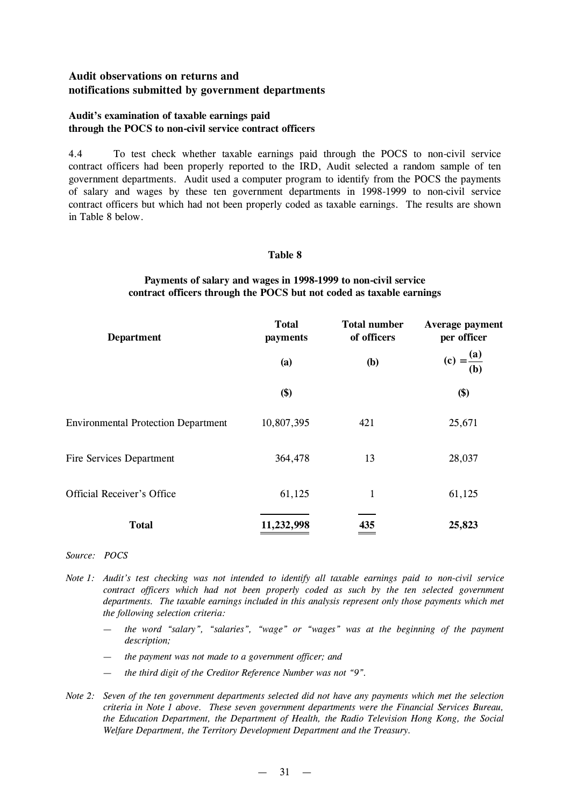# **Audit observations on returns and notifications submitted by government departments**

## **Audit's examination of taxable earnings paid through the POCS to non-civil service contract officers**

4.4 To test check whether taxable earnings paid through the POCS to non-civil service contract officers had been properly reported to the IRD, Audit selected a random sample of ten government departments. Audit used a computer program to identify from the POCS the payments of salary and wages by these ten government departments in 1998-1999 to non-civil service contract officers but which had not been properly coded as taxable earnings. The results are shown in Table 8 below.

### **Table 8**

## **Payments of salary and wages in 1998-1999 to non-civil service contract officers through the POCS but not coded as taxable earnings**

| <b>Department</b>                          | <b>Total</b><br>payments | <b>Total number</b><br>of officers | Average payment<br>per officer |
|--------------------------------------------|--------------------------|------------------------------------|--------------------------------|
|                                            | (a)                      | (b)                                | (c) = $\frac{(a)}{(b)}$        |
|                                            | \$)                      |                                    | \$)                            |
| <b>Environmental Protection Department</b> | 10,807,395               | 421                                | 25,671                         |
| Fire Services Department                   | 364,478                  | 13                                 | 28,037                         |
| <b>Official Receiver's Office</b>          | 61,125                   | $\mathbf{1}$                       | 61,125                         |
| <b>Total</b>                               | 11,232,998               | 435                                | 25,823                         |

#### *Source: POCS*

- *Note 1: Audit's test checking was not intended to identify all taxable earnings paid to non-civil service contract officers which had not been properly coded as such by the ten selected government departments. The taxable earnings included in this analysis represent only those payments which met the following selection criteria:*
	- *— the word "salary", "salaries", "wage" or "wages" was at the beginning of the payment description;*
	- *— the payment was not made to a government officer; and*
	- *— the third digit of the Creditor Reference Number was not "9".*
- Note 2: Seven of the ten government departments selected did not have any payments which met the selection *criteria in Note 1 above. These seven government departments were the Financial Services Bureau, the Education Department, the Department of Health, the Radio Television Hong Kong, the Social Welfare Department, the Territory Development Department and the Treasury.*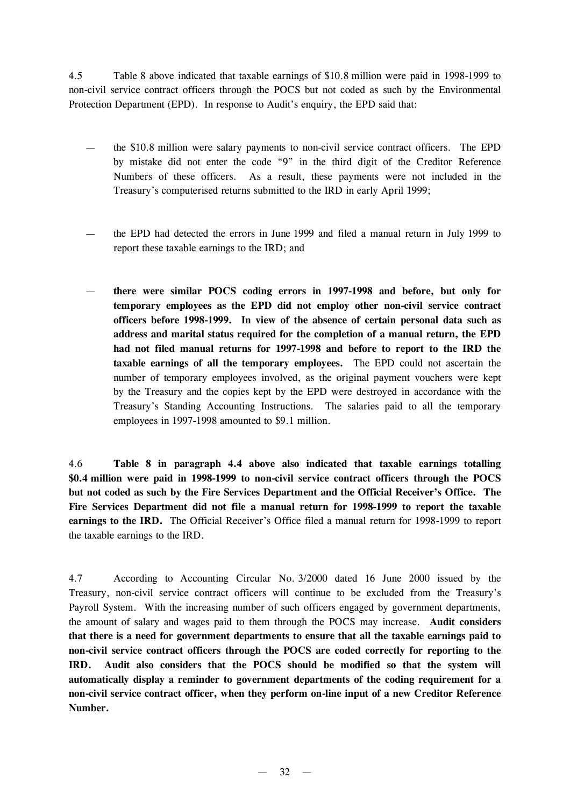4.5 Table 8 above indicated that taxable earnings of \$10.8 million were paid in 1998-1999 to non-civil service contract officers through the POCS but not coded as such by the Environmental Protection Department (EPD). In response to Audit's enquiry, the EPD said that:

- the \$10.8 million were salary payments to non-civil service contract officers. The EPD by mistake did not enter the code "9" in the third digit of the Creditor Reference Numbers of these officers. As a result, these payments were not included in the Treasury's computerised returns submitted to the IRD in early April 1999;
- the EPD had detected the errors in June 1999 and filed a manual return in July 1999 to report these taxable earnings to the IRD; and
- **there were similar POCS coding errors in 1997-1998 and before, but only for temporary employees as the EPD did not employ other non-civil service contract officers before 1998-1999. In view of the absence of certain personal data such as address and marital status required for the completion of a manual return, the EPD had not filed manual returns for 1997-1998 and before to report to the IRD the taxable earnings of all the temporary employees.** The EPD could not ascertain the number of temporary employees involved, as the original payment vouchers were kept by the Treasury and the copies kept by the EPD were destroyed in accordance with the Treasury's Standing Accounting Instructions. The salaries paid to all the temporary employees in 1997-1998 amounted to \$9.1 million.

4.6 **Table 8 in paragraph 4.4 above also indicated that taxable earnings totalling \$0.4 million were paid in 1998-1999 to non-civil service contract officers through the POCS but not coded as such by the Fire Services Department and the Official Receiver's Office. The Fire Services Department did not file a manual return for 1998-1999 to report the taxable earnings to the IRD.** The Official Receiver's Office filed a manual return for 1998-1999 to report the taxable earnings to the IRD.

4.7 According to Accounting Circular No. 3/2000 dated 16 June 2000 issued by the Treasury, non-civil service contract officers will continue to be excluded from the Treasury's Payroll System. With the increasing number of such officers engaged by government departments, the amount of salary and wages paid to them through the POCS may increase. **Audit considers that there is a need for government departments to ensure that all the taxable earnings paid to non-civil service contract officers through the POCS are coded correctly for reporting to the IRD. Audit also considers that the POCS should be modified so that the system will automatically display a reminder to government departments of the coding requirement for a non-civil service contract officer, when they perform on-line input of a new Creditor Reference Number.**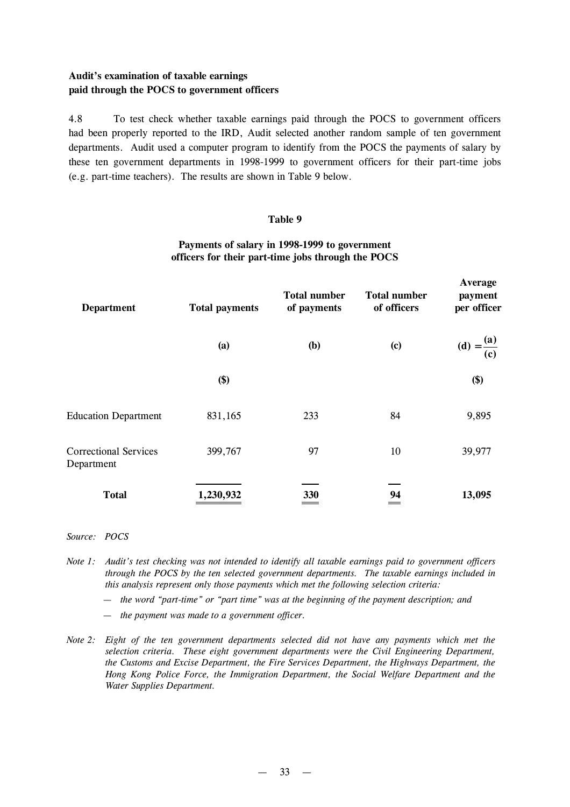# **Audit's examination of taxable earnings paid through the POCS to government officers**

4.8 To test check whether taxable earnings paid through the POCS to government officers had been properly reported to the IRD, Audit selected another random sample of ten government departments. Audit used a computer program to identify from the POCS the payments of salary by these ten government departments in 1998-1999 to government officers for their part-time jobs (e.g. part-time teachers). The results are shown in Table 9 below.

### **Table 9**

# **Payments of salary in 1998-1999 to government officers for their part-time jobs through the POCS**

| <b>Department</b>                          | <b>Total payments</b> | <b>Total number</b><br>of payments | <b>Total number</b><br>of officers | Average<br>payment<br>per officer   |
|--------------------------------------------|-----------------------|------------------------------------|------------------------------------|-------------------------------------|
|                                            | (a)                   | <b>(b)</b>                         | $\left( \mathbf{c}\right)$         | (d) = $\frac{({\bf a})}{{\bf (c)}}$ |
|                                            | \$)                   |                                    |                                    | \$)                                 |
| <b>Education Department</b>                | 831,165               | 233                                | 84                                 | 9,895                               |
| <b>Correctional Services</b><br>Department | 399,767               | 97                                 | 10                                 | 39,977                              |
| <b>Total</b>                               | 1,230,932             | 330                                | 94                                 | 13,095                              |

#### *Source: POCS*

- Note 1: Audit's test checking was not intended to identify all taxable earnings paid to government officers *through the POCS by the ten selected government departments. The taxable earnings included in this analysis represent only those payments which met the following selection criteria:*
	- *— the word "part-time" or "part time" was at the beginning of the payment description; and*
	- *— the payment was made to a government officer.*
- *Note 2: Eight of the ten government departments selected did not have any payments which met the selection criteria. These eight government departments were the Civil Engineering Department, the Customs and Excise Department, the Fire Services Department, the Highways Department, the Hong Kong Police Force, the Immigration Department, the Social Welfare Department and the Water Supplies Department.*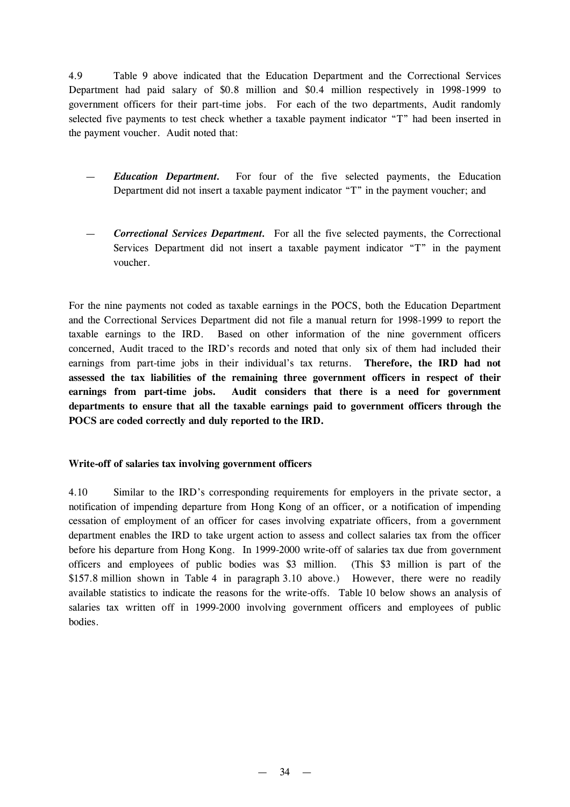4.9 Table 9 above indicated that the Education Department and the Correctional Services Department had paid salary of \$0.8 million and \$0.4 million respectively in 1998-1999 to government officers for their part-time jobs. For each of the two departments, Audit randomly selected five payments to test check whether a taxable payment indicator "T" had been inserted in the payment voucher. Audit noted that:

- *Education Department.* For four of the five selected payments, the Education Department did not insert a taxable payment indicator "T" in the payment voucher; and
- *Correctional Services Department.* For all the five selected payments, the Correctional Services Department did not insert a taxable payment indicator "T" in the payment voucher.

For the nine payments not coded as taxable earnings in the POCS, both the Education Department and the Correctional Services Department did not file a manual return for 1998-1999 to report the taxable earnings to the IRD. Based on other information of the nine government officers concerned, Audit traced to the IRD's records and noted that only six of them had included their earnings from part-time jobs in their individual's tax returns. **Therefore, the IRD had not assessed the tax liabilities of the remaining three government officers in respect of their earnings from part-time jobs. Audit considers that there is a need for government departments to ensure that all the taxable earnings paid to government officers through the POCS are coded correctly and duly reported to the IRD.**

### **Write-off of salaries tax involving government officers**

4.10 Similar to the IRD's corresponding requirements for employers in the private sector, a notification of impending departure from Hong Kong of an officer, or a notification of impending cessation of employment of an officer for cases involving expatriate officers, from a government department enables the IRD to take urgent action to assess and collect salaries tax from the officer before his departure from Hong Kong. In 1999-2000 write-off of salaries tax due from government officers and employees of public bodies was \$3 million. (This \$3 million is part of the \$157.8 million shown in Table 4 in paragraph 3.10 above.) However, there were no readily available statistics to indicate the reasons for the write-offs. Table 10 below shows an analysis of salaries tax written off in 1999-2000 involving government officers and employees of public bodies.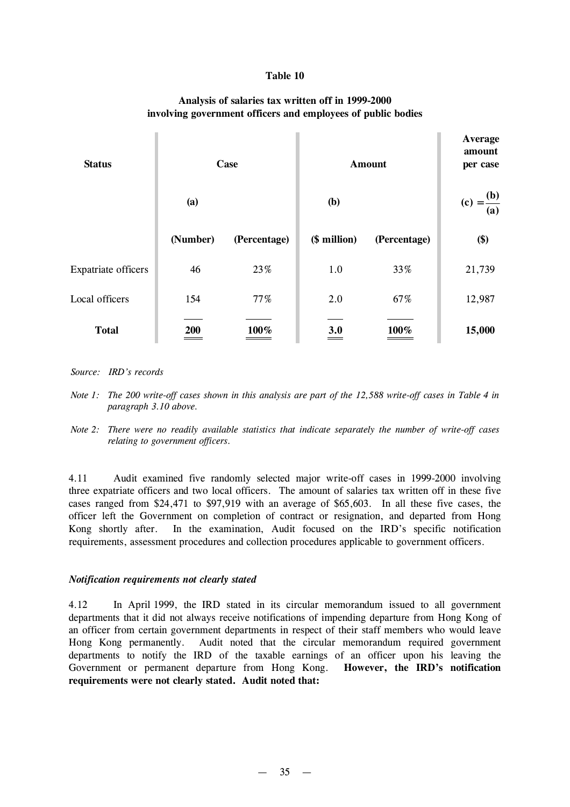#### **Table 10**

# **Analysis of salaries tax written off in 1999-2000 involving government officers and employees of public bodies**

| <b>Status</b>              | Case     |              | <b>Amount</b> |              | Average<br>amount<br>per case |
|----------------------------|----------|--------------|---------------|--------------|-------------------------------|
|                            | (a)      |              | <b>(b)</b>    |              | (c) = $\frac{(b)}{(a)}$       |
|                            | (Number) | (Percentage) | (\$ million)  | (Percentage) | \$)                           |
| <b>Expatriate officers</b> | 46       | 23%          | 1.0           | 33%          | 21,739                        |
| Local officers             | 154      | 77%          | 2.0           | 67%          | 12,987                        |
| <b>Total</b>               | 200      | 100%         | 3.0<br>____   | 100%         | 15,000                        |

*Source: IRD's records*

- Note 1: The 200 write-off cases shown in this analysis are part of the 12,588 write-off cases in Table 4 in *paragraph 3.10 above.*
- *Note 2: There were no readily available statistics that indicate separately the number of write-off cases relating to government officers.*

4.11 Audit examined five randomly selected major write-off cases in 1999-2000 involving three expatriate officers and two local officers. The amount of salaries tax written off in these five cases ranged from \$24,471 to \$97,919 with an average of \$65,603. In all these five cases, the officer left the Government on completion of contract or resignation, and departed from Hong Kong shortly after. In the examination, Audit focused on the IRD's specific notification requirements, assessment procedures and collection procedures applicable to government officers.

#### *Notification requirements not clearly stated*

4.12 In April 1999, the IRD stated in its circular memorandum issued to all government departments that it did not always receive notifications of impending departure from Hong Kong of an officer from certain government departments in respect of their staff members who would leave Hong Kong permanently. Audit noted that the circular memorandum required government departments to notify the IRD of the taxable earnings of an officer upon his leaving the Government or permanent departure from Hong Kong. **However, the IRD's notification requirements were not clearly stated. Audit noted that:**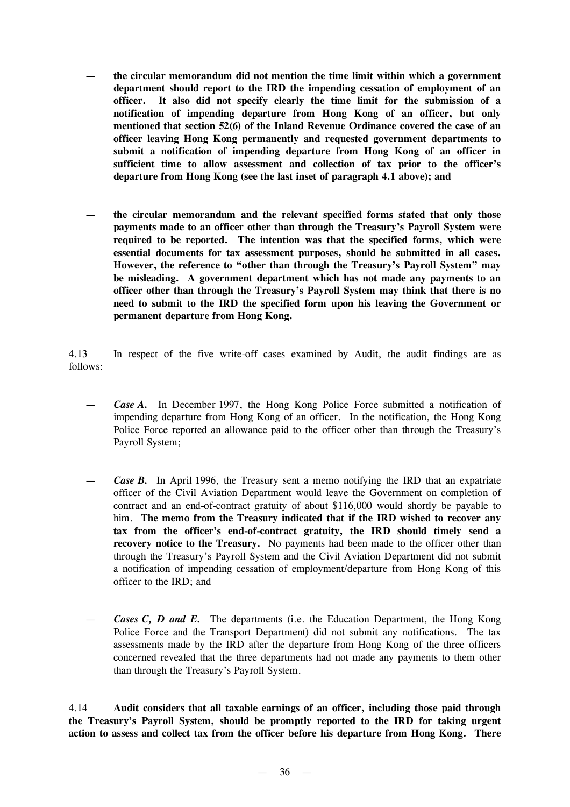- **the circular memorandum did not mention the time limit within which a government department should report to the IRD the impending cessation of employment of an officer. It also did not specify clearly the time limit for the submission of a notification of impending departure from Hong Kong of an officer, but only mentioned that section 52(6) of the Inland Revenue Ordinance covered the case of an officer leaving Hong Kong permanently and requested government departments to submit a notification of impending departure from Hong Kong of an officer in sufficient time to allow assessment and collection of tax prior to the officer's departure from Hong Kong (see the last inset of paragraph 4.1 above); and**
- **the circular memorandum and the relevant specified forms stated that only those payments made to an officer other than through the Treasury's Payroll System were required to be reported. The intention was that the specified forms, which were essential documents for tax assessment purposes, should be submitted in all cases. However, the reference to "other than through the Treasury's Payroll System" may be misleading. A government department which has not made any payments to an officer other than through the Treasury's Payroll System may think that there is no need to submit to the IRD the specified form upon his leaving the Government or permanent departure from Hong Kong.**

4.13 In respect of the five write-off cases examined by Audit, the audit findings are as follows:

- *Case A.* In December 1997, the Hong Kong Police Force submitted a notification of impending departure from Hong Kong of an officer. In the notification, the Hong Kong Police Force reported an allowance paid to the officer other than through the Treasury's Payroll System;
- *Case B.* In April 1996, the Treasury sent a memo notifying the IRD that an expatriate officer of the Civil Aviation Department would leave the Government on completion of contract and an end-of-contract gratuity of about \$116,000 would shortly be payable to him. **The memo from the Treasury indicated that if the IRD wished to recover any tax from the officer's end-of-contract gratuity, the IRD should timely send a recovery notice to the Treasury.** No payments had been made to the officer other than through the Treasury's Payroll System and the Civil Aviation Department did not submit a notification of impending cessation of employment/departure from Hong Kong of this officer to the IRD; and
- *Cases C, D and E.* The departments (i.e. the Education Department, the Hong Kong Police Force and the Transport Department) did not submit any notifications. The tax assessments made by the IRD after the departure from Hong Kong of the three officers concerned revealed that the three departments had not made any payments to them other than through the Treasury's Payroll System.

4.14 **Audit considers that all taxable earnings of an officer, including those paid through the Treasury's Payroll System, should be promptly reported to the IRD for taking urgent action to assess and collect tax from the officer before his departure from Hong Kong. There**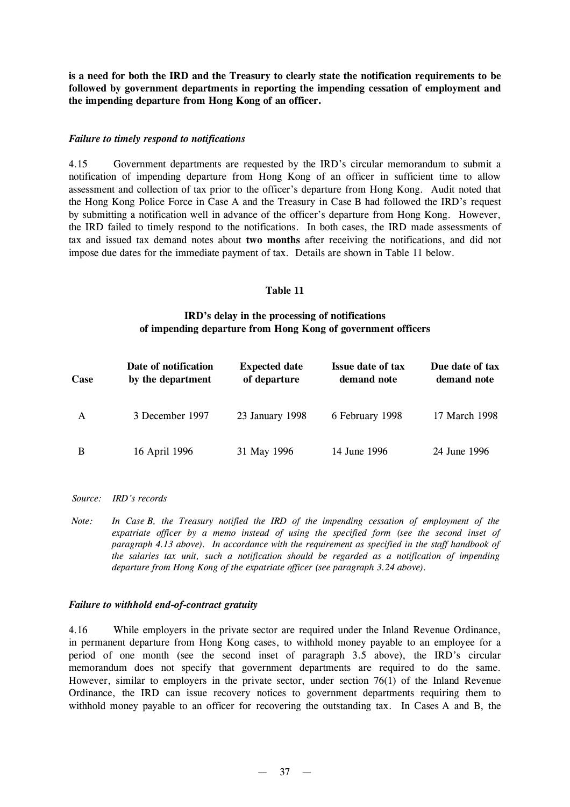**is a need for both the IRD and the Treasury to clearly state the notification requirements to be followed by government departments in reporting the impending cessation of employment and the impending departure from Hong Kong of an officer.**

### *Failure to timely respond to notifications*

4.15 Government departments are requested by the IRD's circular memorandum to submit a notification of impending departure from Hong Kong of an officer in sufficient time to allow assessment and collection of tax prior to the officer's departure from Hong Kong. Audit noted that the Hong Kong Police Force in Case A and the Treasury in Case B had followed the IRD's request by submitting a notification well in advance of the officer's departure from Hong Kong. However, the IRD failed to timely respond to the notifications. In both cases, the IRD made assessments of tax and issued tax demand notes about **two months** after receiving the notifications, and did not impose due dates for the immediate payment of tax. Details are shown in Table 11 below.

### **Table 11**

## **IRD's delay in the processing of notifications of impending departure from Hong Kong of government officers**

| Case | Date of notification<br>by the department | <b>Expected date</b><br>of departure | <b>Issue date of tax</b><br>demand note | Due date of tax<br>demand note |
|------|-------------------------------------------|--------------------------------------|-----------------------------------------|--------------------------------|
| A    | 3 December 1997                           | 23 January 1998                      | 6 February 1998                         | 17 March 1998                  |
| B    | 16 April 1996                             | 31 May 1996                          | 14 June 1996                            | 24 June 1996                   |

- *Source: IRD's records*
- *Note: In Case B, the Treasury notified the IRD of the impending cessation of employment of the expatriate officer by a memo instead of using the specified form (see the second inset of paragraph 4.13 above). In accordance with the requirement as specified in the staff handbook of the salaries tax unit, such a notification should be regarded as a notification of impending departure from Hong Kong of the expatriate officer (see paragraph 3.24 above).*

### *Failure to withhold end-of-contract gratuity*

4.16 While employers in the private sector are required under the Inland Revenue Ordinance, in permanent departure from Hong Kong cases, to withhold money payable to an employee for a period of one month (see the second inset of paragraph 3.5 above), the IRD's circular memorandum does not specify that government departments are required to do the same. However, similar to employers in the private sector, under section 76(1) of the Inland Revenue Ordinance, the IRD can issue recovery notices to government departments requiring them to withhold money payable to an officer for recovering the outstanding tax. In Cases A and B, the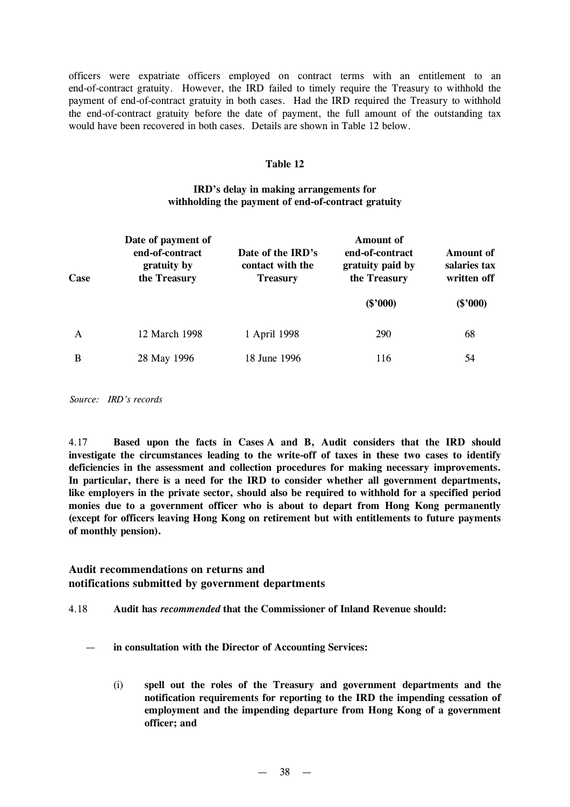officers were expatriate officers employed on contract terms with an entitlement to an end-of-contract gratuity. However, the IRD failed to timely require the Treasury to withhold the payment of end-of-contract gratuity in both cases. Had the IRD required the Treasury to withhold the end-of-contract gratuity before the date of payment, the full amount of the outstanding tax would have been recovered in both cases. Details are shown in Table 12 below.

### **Table 12**

# **IRD's delay in making arrangements for withholding the payment of end-of-contract gratuity**

| Case | Date of payment of<br>end-of-contract<br>gratuity by<br>the Treasury | Date of the IRD's<br>contact with the<br><b>Treasury</b> | Amount of<br>end-of-contract<br>gratuity paid by<br>the Treasury | <b>Amount of</b><br>salaries tax<br>written off |
|------|----------------------------------------------------------------------|----------------------------------------------------------|------------------------------------------------------------------|-------------------------------------------------|
|      |                                                                      |                                                          | $(\$'000)$                                                       | $(\$'000)$                                      |
| A    | 12 March 1998                                                        | 1 April 1998                                             | 290                                                              | 68                                              |
| B    | 28 May 1996                                                          | 18 June 1996                                             | 116                                                              | 54                                              |

*Source: IRD's records*

4.17 **Based upon the facts in Cases A and B, Audit considers that the IRD should investigate the circumstances leading to the write-off of taxes in these two cases to identify deficiencies in the assessment and collection procedures for making necessary improvements. In particular, there is a need for the IRD to consider whether all government departments, like employers in the private sector, should also be required to withhold for a specified period monies due to a government officer who is about to depart from Hong Kong permanently (except for officers leaving Hong Kong on retirement but with entitlements to future payments of monthly pension).**

# **Audit recommendations on returns and notifications submitted by government departments**

4.18 **Audit has** *recommended* **that the Commissioner of Inland Revenue should:**

- **in consultation with the Director of Accounting Services:**
	- (i) **spell out the roles of the Treasury and government departments and the notification requirements for reporting to the IRD the impending cessation of employment and the impending departure from Hong Kong of a government officer; and**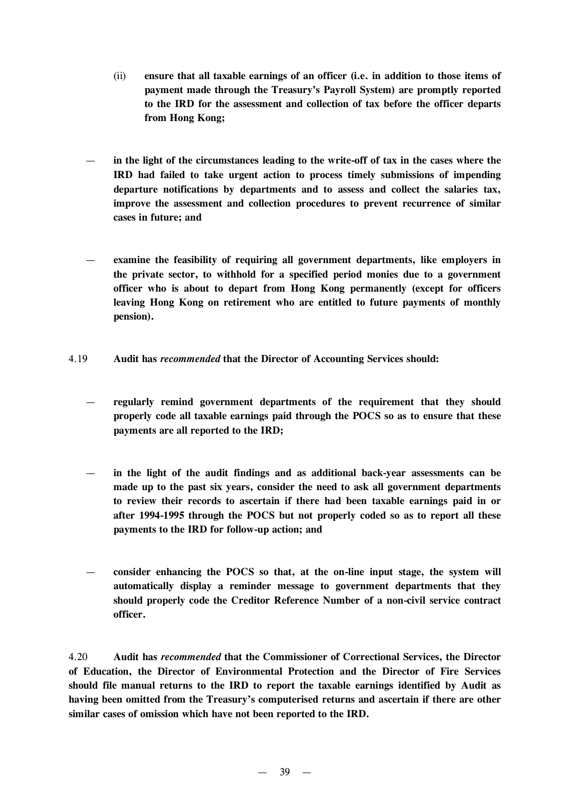- (ii) **ensure that all taxable earnings of an officer (i.e. in addition to those items of payment made through the Treasury's Payroll System) are promptly reported to the IRD for the assessment and collection of tax before the officer departs from Hong Kong;**
- **in the light of the circumstances leading to the write-off of tax in the cases where the IRD had failed to take urgent action to process timely submissions of impending departure notifications by departments and to assess and collect the salaries tax, improve the assessment and collection procedures to prevent recurrence of similar cases in future; and**
- **examine the feasibility of requiring all government departments, like employers in the private sector, to withhold for a specified period monies due to a government officer who is about to depart from Hong Kong permanently (except for officers leaving Hong Kong on retirement who are entitled to future payments of monthly pension).**
- 4.19 **Audit has** *recommended* **that the Director of Accounting Services should:**
	- **regularly remind government departments of the requirement that they should properly code all taxable earnings paid through the POCS so as to ensure that these payments are all reported to the IRD;**
	- **in the light of the audit findings and as additional back-year assessments can be made up to the past six years, consider the need to ask all government departments to review their records to ascertain if there had been taxable earnings paid in or after 1994-1995 through the POCS but not properly coded so as to report all these payments to the IRD for follow-up action; and**
	- **consider enhancing the POCS so that, at the on-line input stage, the system will automatically display a reminder message to government departments that they should properly code the Creditor Reference Number of a non-civil service contract officer.**

4.20 **Audit has** *recommended* **that the Commissioner of Correctional Services, the Director of Education, the Director of Environmental Protection and the Director of Fire Services should file manual returns to the IRD to report the taxable earnings identified by Audit as having been omitted from the Treasury's computerised returns and ascertain if there are other similar cases of omission which have not been reported to the IRD.**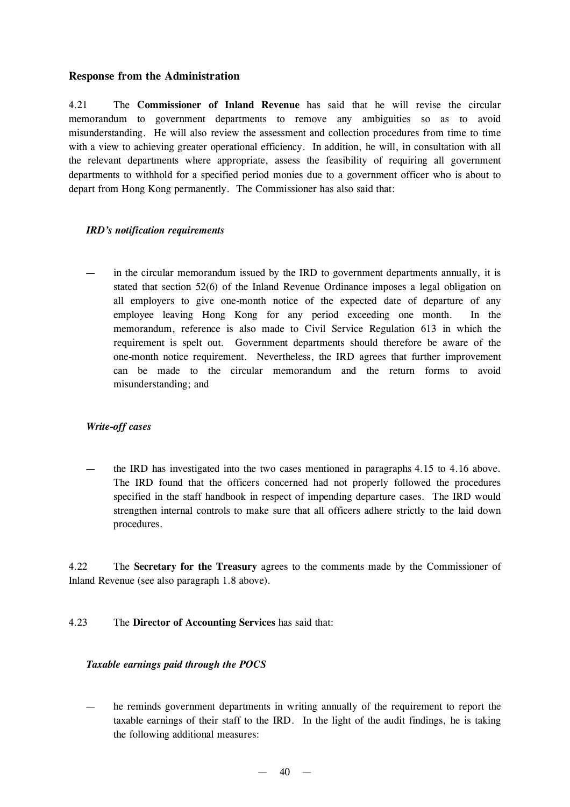# **Response from the Administration**

4.21 The **Commissioner of Inland Revenue** has said that he will revise the circular memorandum to government departments to remove any ambiguities so as to avoid misunderstanding. He will also review the assessment and collection procedures from time to time with a view to achieving greater operational efficiency. In addition, he will, in consultation with all the relevant departments where appropriate, assess the feasibility of requiring all government departments to withhold for a specified period monies due to a government officer who is about to depart from Hong Kong permanently. The Commissioner has also said that:

## *IRD's notification requirements*

in the circular memorandum issued by the IRD to government departments annually, it is stated that section 52(6) of the Inland Revenue Ordinance imposes a legal obligation on all employers to give one-month notice of the expected date of departure of any employee leaving Hong Kong for any period exceeding one month. In the memorandum, reference is also made to Civil Service Regulation 613 in which the requirement is spelt out. Government departments should therefore be aware of the one-month notice requirement. Nevertheless, the IRD agrees that further improvement can be made to the circular memorandum and the return forms to avoid misunderstanding; and

# *Write-off cases*

the IRD has investigated into the two cases mentioned in paragraphs 4.15 to 4.16 above. The IRD found that the officers concerned had not properly followed the procedures specified in the staff handbook in respect of impending departure cases. The IRD would strengthen internal controls to make sure that all officers adhere strictly to the laid down procedures.

4.22 The **Secretary for the Treasury** agrees to the comments made by the Commissioner of Inland Revenue (see also paragraph 1.8 above).

4.23 The **Director of Accounting Services** has said that:

# *Taxable earnings paid through the POCS*

— he reminds government departments in writing annually of the requirement to report the taxable earnings of their staff to the IRD. In the light of the audit findings, he is taking the following additional measures: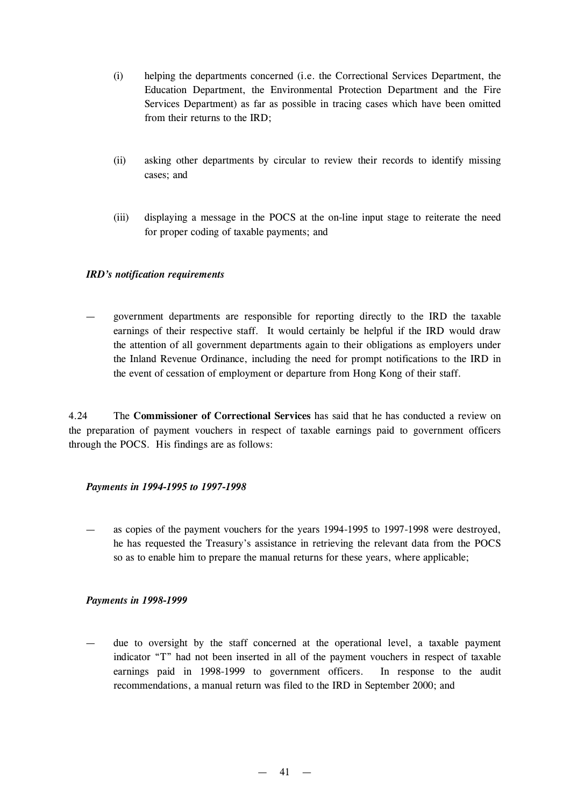- (i) helping the departments concerned (i.e. the Correctional Services Department, the Education Department, the Environmental Protection Department and the Fire Services Department) as far as possible in tracing cases which have been omitted from their returns to the IRD;
- (ii) asking other departments by circular to review their records to identify missing cases; and
- (iii) displaying a message in the POCS at the on-line input stage to reiterate the need for proper coding of taxable payments; and

### *IRD's notification requirements*

— government departments are responsible for reporting directly to the IRD the taxable earnings of their respective staff. It would certainly be helpful if the IRD would draw the attention of all government departments again to their obligations as employers under the Inland Revenue Ordinance, including the need for prompt notifications to the IRD in the event of cessation of employment or departure from Hong Kong of their staff.

4.24 The **Commissioner of Correctional Services** has said that he has conducted a review on the preparation of payment vouchers in respect of taxable earnings paid to government officers through the POCS. His findings are as follows:

### *Payments in 1994-1995 to 1997-1998*

— as copies of the payment vouchers for the years 1994-1995 to 1997-1998 were destroyed, he has requested the Treasury's assistance in retrieving the relevant data from the POCS so as to enable him to prepare the manual returns for these years, where applicable;

#### *Payments in 1998-1999*

due to oversight by the staff concerned at the operational level, a taxable payment indicator "T" had not been inserted in all of the payment vouchers in respect of taxable earnings paid in 1998-1999 to government officers. In response to the audit recommendations, a manual return was filed to the IRD in September 2000; and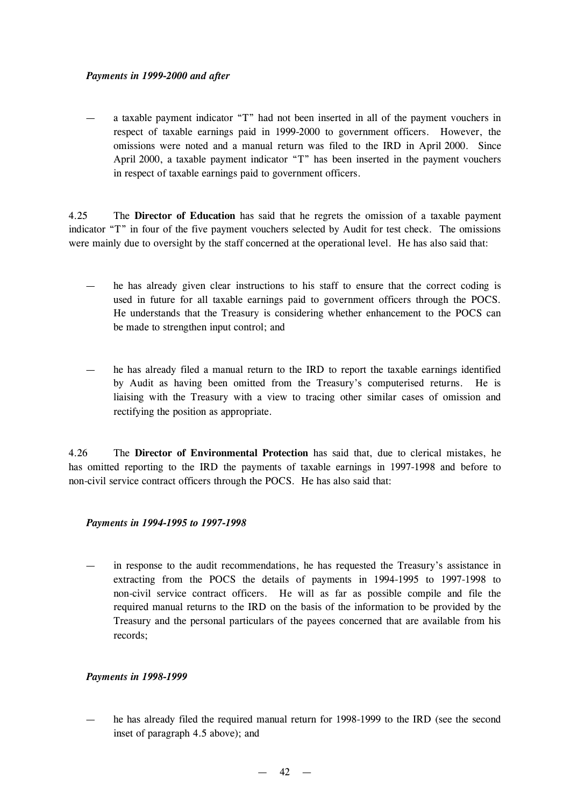## *Payments in 1999-2000 and after*

— a taxable payment indicator "T" had not been inserted in all of the payment vouchers in respect of taxable earnings paid in 1999-2000 to government officers. However, the omissions were noted and a manual return was filed to the IRD in April 2000. Since April 2000, a taxable payment indicator "T" has been inserted in the payment vouchers in respect of taxable earnings paid to government officers.

4.25 The **Director of Education** has said that he regrets the omission of a taxable payment indicator "T" in four of the five payment vouchers selected by Audit for test check. The omissions were mainly due to oversight by the staff concerned at the operational level. He has also said that:

- he has already given clear instructions to his staff to ensure that the correct coding is used in future for all taxable earnings paid to government officers through the POCS. He understands that the Treasury is considering whether enhancement to the POCS can be made to strengthen input control; and
- he has already filed a manual return to the IRD to report the taxable earnings identified by Audit as having been omitted from the Treasury's computerised returns. He is liaising with the Treasury with a view to tracing other similar cases of omission and rectifying the position as appropriate.

4.26 The **Director of Environmental Protection** has said that, due to clerical mistakes, he has omitted reporting to the IRD the payments of taxable earnings in 1997-1998 and before to non-civil service contract officers through the POCS. He has also said that:

# *Payments in 1994-1995 to 1997-1998*

— in response to the audit recommendations, he has requested the Treasury's assistance in extracting from the POCS the details of payments in 1994-1995 to 1997-1998 to non-civil service contract officers. He will as far as possible compile and file the required manual returns to the IRD on the basis of the information to be provided by the Treasury and the personal particulars of the payees concerned that are available from his records;

### *Payments in 1998-1999*

he has already filed the required manual return for 1998-1999 to the IRD (see the second inset of paragraph 4.5 above); and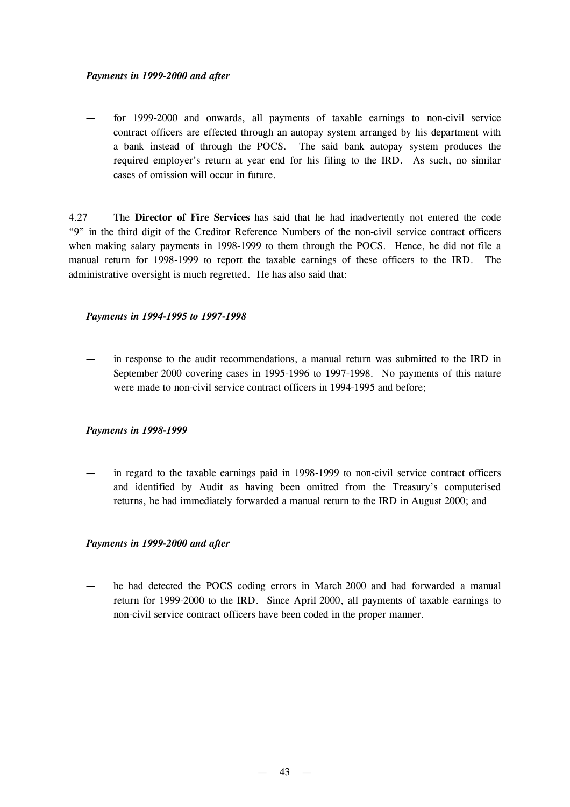### *Payments in 1999-2000 and after*

for 1999-2000 and onwards, all payments of taxable earnings to non-civil service contract officers are effected through an autopay system arranged by his department with a bank instead of through the POCS. The said bank autopay system produces the required employer's return at year end for his filing to the IRD. As such, no similar cases of omission will occur in future.

4.27 The **Director of Fire Services** has said that he had inadvertently not entered the code "9" in the third digit of the Creditor Reference Numbers of the non-civil service contract officers when making salary payments in 1998-1999 to them through the POCS. Hence, he did not file a manual return for 1998-1999 to report the taxable earnings of these officers to the IRD. The administrative oversight is much regretted. He has also said that:

## *Payments in 1994-1995 to 1997-1998*

— in response to the audit recommendations, a manual return was submitted to the IRD in September 2000 covering cases in 1995-1996 to 1997-1998. No payments of this nature were made to non-civil service contract officers in 1994-1995 and before;

### *Payments in 1998-1999*

— in regard to the taxable earnings paid in 1998-1999 to non-civil service contract officers and identified by Audit as having been omitted from the Treasury's computerised returns, he had immediately forwarded a manual return to the IRD in August 2000; and

### *Payments in 1999-2000 and after*

he had detected the POCS coding errors in March 2000 and had forwarded a manual return for 1999-2000 to the IRD. Since April 2000, all payments of taxable earnings to non-civil service contract officers have been coded in the proper manner.